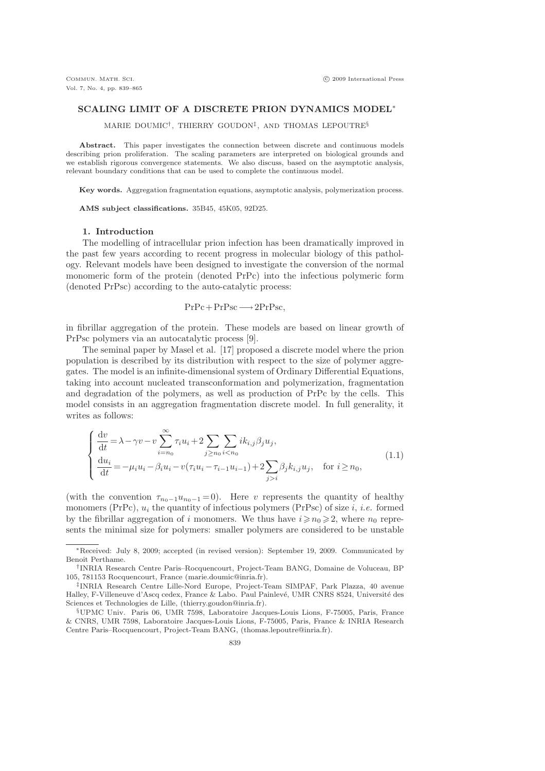## SCALING LIMIT OF A DISCRETE PRION DYNAMICS MODEL<sup>∗</sup>

MARIE DOUMIC† , THIERRY GOUDON‡ , AND THOMAS LEPOUTRE§

Abstract. This paper investigates the connection between discrete and continuous models describing prion proliferation. The scaling parameters are interpreted on biological grounds and we establish rigorous convergence statements. We also discuss, based on the asymptotic analysis, relevant boundary conditions that can be used to complete the continuous model.

Key words. Aggregation fragmentation equations, asymptotic analysis, polymerization process.

AMS subject classifications. 35B45, 45K05, 92D25.

### 1. Introduction

The modelling of intracellular prion infection has been dramatically improved in the past few years according to recent progress in molecular biology of this pathology. Relevant models have been designed to investigate the conversion of the normal monomeric form of the protein (denoted PrPc) into the infectious polymeric form (denoted PrPsc) according to the auto-catalytic process:

$$
PrPc + PrPsc \longrightarrow 2PrPsc,
$$

in fibrillar aggregation of the protein. These models are based on linear growth of PrPsc polymers via an autocatalytic process [9].

The seminal paper by Masel et al. [17] proposed a discrete model where the prion population is described by its distribution with respect to the size of polymer aggregates. The model is an infinite-dimensional system of Ordinary Differential Equations, taking into account nucleated transconformation and polymerization, fragmentation and degradation of the polymers, as well as production of PrPc by the cells. This model consists in an aggregation fragmentation discrete model. In full generality, it writes as follows:

$$
\begin{cases}\n\frac{dv}{dt} = \lambda - \gamma v - v \sum_{i=n_0}^{\infty} \tau_i u_i + 2 \sum_{j \ge n_0} \sum_{i < n_0} i k_{i,j} \beta_j u_j, \\
\frac{du_i}{dt} = -\mu_i u_i - \beta_i u_i - v(\tau_i u_i - \tau_{i-1} u_{i-1}) + 2 \sum_{j > i} \beta_j k_{i,j} u_j, \quad \text{for } i \ge n_0,\n\end{cases} (1.1)
$$

(with the convention  $\tau_{n_0-1}u_{n_0-1}=0$ ). Here v represents the quantity of healthy monomers (PrPc),  $u_i$  the quantity of infectious polymers (PrPsc) of size i, i.e. formed by the fibrillar aggregation of i monomers. We thus have  $i \ge n_0 \ge 2$ , where  $n_0$  represents the minimal size for polymers: smaller polymers are considered to be unstable

<sup>∗</sup>Received: July 8, 2009; accepted (in revised version): September 19, 2009. Communicated by Benoit Perthame.

<sup>†</sup> INRIA Research Centre Paris–Rocquencourt, Project-Team BANG, Domaine de Voluceau, BP 105, 781153 Rocquencourt, France (marie.doumic@inria.fr).

<sup>‡</sup> INRIA Research Centre Lille-Nord Europe, Project-Team SIMPAF, Park Plazza, 40 avenue Halley, F-Villeneuve d'Ascq cedex, France & Labo. Paul Painlevé, UMR CNRS 8524, Université des Sciences et Technologies de Lille, (thierry.goudon@inria.fr).

<sup>§</sup>UPMC Univ. Paris 06, UMR 7598, Laboratoire Jacques-Louis Lions, F-75005, Paris, France & CNRS, UMR 7598, Laboratoire Jacques-Louis Lions, F-75005, Paris, France & INRIA Research Centre Paris–Rocquencourt, Project-Team BANG, (thomas.lepoutre@inria.fr).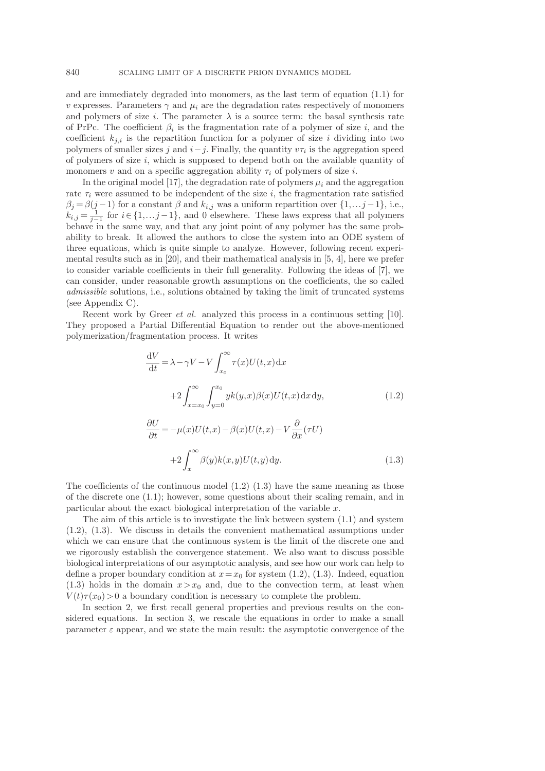and are immediately degraded into monomers, as the last term of equation (1.1) for v expresses. Parameters  $\gamma$  and  $\mu_i$  are the degradation rates respectively of monomers and polymers of size i. The parameter  $\lambda$  is a source term: the basal synthesis rate of PrPc. The coefficient  $\beta_i$  is the fragmentation rate of a polymer of size i, and the coefficient  $k_{i,i}$  is the repartition function for a polymer of size i dividing into two polymers of smaller sizes j and  $i - j$ . Finally, the quantity  $v\tau_i$  is the aggregation speed of polymers of size  $i$ , which is supposed to depend both on the available quantity of monomers v and on a specific aggregation ability  $\tau_i$  of polymers of size i.

In the original model [17], the degradation rate of polymers  $\mu_i$  and the aggregation rate  $\tau_i$  were assumed to be independent of the size i, the fragmentation rate satisfied  $\beta_j = \beta(j-1)$  for a constant  $\beta$  and  $k_{i,j}$  was a uniform repartition over  $\{1,\ldots j-1\}$ , i.e.,  $k_{i,j} = \frac{1}{j-1}$  for  $i \in \{1, \ldots, j-1\}$ , and 0 elsewhere. These laws express that all polymers behave in the same way, and that any joint point of any polymer has the same probability to break. It allowed the authors to close the system into an ODE system of three equations, which is quite simple to analyze. However, following recent experimental results such as in [20], and their mathematical analysis in [5, 4], here we prefer to consider variable coefficients in their full generality. Following the ideas of [7], we can consider, under reasonable growth assumptions on the coefficients, the so called admissible solutions, i.e., solutions obtained by taking the limit of truncated systems (see Appendix C).

Recent work by Greer et al. analyzed this process in a continuous setting [10]. They proposed a Partial Differential Equation to render out the above-mentioned polymerization/fragmentation process. It writes

$$
\frac{dV}{dt} = \lambda - \gamma V - V \int_{x_0}^{\infty} \tau(x) U(t, x) dx
$$

$$
+ 2 \int_{x = x_0}^{\infty} \int_{y=0}^{x_0} yk(y, x) \beta(x) U(t, x) dx dy,
$$
(1.2)

$$
\frac{\partial U}{\partial t} = -\mu(x)U(t, x) - \beta(x)U(t, x) - V \frac{\partial}{\partial x}(\tau U)
$$

$$
+2\int_x^{\infty} \beta(y)k(x, y)U(t, y) dy.
$$
(1.3)

The coefficients of the continuous model  $(1.2)$   $(1.3)$  have the same meaning as those of the discrete one (1.1); however, some questions about their scaling remain, and in particular about the exact biological interpretation of the variable x.

The aim of this article is to investigate the link between system (1.1) and system (1.2), (1.3). We discuss in details the convenient mathematical assumptions under which we can ensure that the continuous system is the limit of the discrete one and we rigorously establish the convergence statement. We also want to discuss possible biological interpretations of our asymptotic analysis, and see how our work can help to define a proper boundary condition at  $x=x_0$  for system (1.2), (1.3). Indeed, equation (1.3) holds in the domain  $x > x_0$  and, due to the convection term, at least when  $V(t)\tau(x_0) > 0$  a boundary condition is necessary to complete the problem.

In section 2, we first recall general properties and previous results on the considered equations. In section 3, we rescale the equations in order to make a small parameter  $\varepsilon$  appear, and we state the main result: the asymptotic convergence of the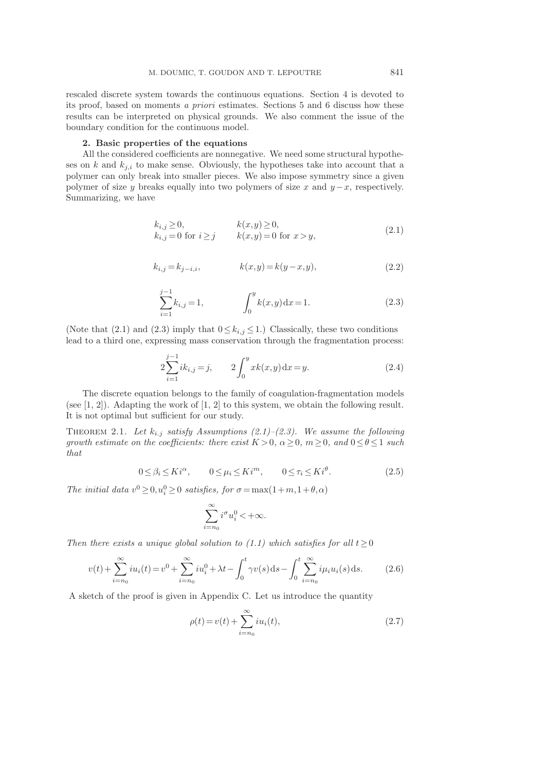rescaled discrete system towards the continuous equations. Section 4 is devoted to its proof, based on moments a priori estimates. Sections 5 and 6 discuss how these results can be interpreted on physical grounds. We also comment the issue of the boundary condition for the continuous model.

### 2. Basic properties of the equations

All the considered coefficients are nonnegative. We need some structural hypotheses on k and  $k_{j,i}$  to make sense. Obviously, the hypotheses take into account that a polymer can only break into smaller pieces. We also impose symmetry since a given polymer of size y breaks equally into two polymers of size x and  $y-x$ , respectively. Summarizing, we have

$$
k_{i,j} \ge 0,
$$
  
\n
$$
k_{i,j} = 0 \text{ for } i \ge j
$$
  
\n
$$
k(x,y) \ge 0,
$$
  
\n
$$
k(x,y) = 0 \text{ for } x > y,
$$
\n(2.1)

$$
k_{i,j} = k_{j-i,i}, \qquad k(x,y) = k(y-x,y), \qquad (2.2)
$$

$$
\sum_{i=1}^{j-1} k_{i,j} = 1, \qquad \qquad \int_0^y k(x,y) \, \mathrm{d}x = 1. \tag{2.3}
$$

(Note that (2.1) and (2.3) imply that  $0 \le k_{i,j} \le 1$ .) Classically, these two conditions lead to a third one, expressing mass conservation through the fragmentation process:

$$
2\sum_{i=1}^{j-1}ik_{i,j}=j, \qquad 2\int_0^y xk(x,y)\,\mathrm{d}x=y. \tag{2.4}
$$

The discrete equation belongs to the family of coagulation-fragmentation models (see [1, 2]). Adapting the work of [1, 2] to this system, we obtain the following result. It is not optimal but sufficient for our study.

THEOREM 2.1. Let  $k_{i,j}$  satisfy Assumptions (2.1)–(2.3). We assume the following growth estimate on the coefficients: there exist  $K > 0$ ,  $\alpha \geq 0$ ,  $m \geq 0$ , and  $0 \leq \theta \leq 1$  such that

$$
0 \le \beta_i \le K i^{\alpha}, \qquad 0 \le \mu_i \le K i^m, \qquad 0 \le \tau_i \le K i^{\theta}.
$$
 (2.5)

The initial data  $v^0 \ge 0, u_i^0 \ge 0$  satisfies, for  $\sigma = \max(1+m, 1+\theta, \alpha)$ 

$$
\sum_{i=n_0}^{\infty} i^{\sigma} u_i^0 < +\infty.
$$

Then there exists a unique global solution to (1.1) which satisfies for all  $t \geq 0$ 

$$
v(t) + \sum_{i=n_0}^{\infty} i u_i(t) = v^0 + \sum_{i=n_0}^{\infty} i u_i^0 + \lambda t - \int_0^t \gamma v(s) \, ds - \int_0^t \sum_{i=n_0}^{\infty} i \mu_i u_i(s) \, ds. \tag{2.6}
$$

A sketch of the proof is given in Appendix C. Let us introduce the quantity

$$
\rho(t) = v(t) + \sum_{i=n_0}^{\infty} i u_i(t),
$$
\n(2.7)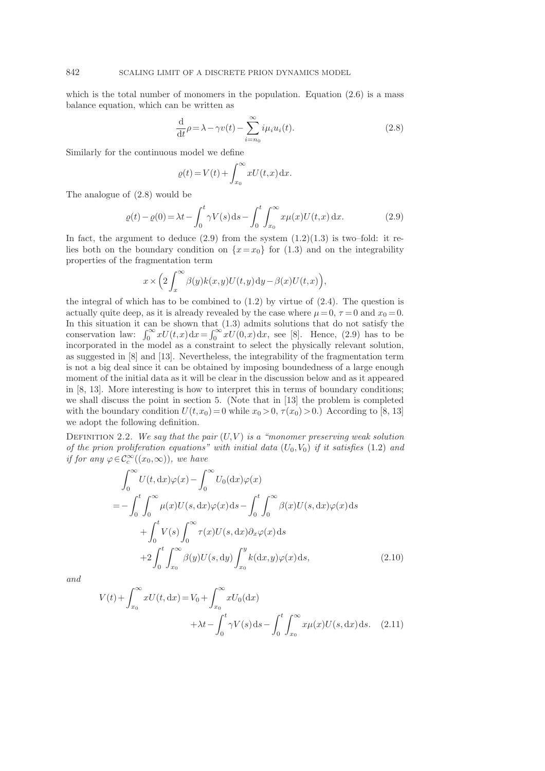which is the total number of monomers in the population. Equation  $(2.6)$  is a mass balance equation, which can be written as

$$
\frac{\mathrm{d}}{\mathrm{d}t}\rho = \lambda - \gamma v(t) - \sum_{i=n_0}^{\infty} i\mu_i u_i(t).
$$
\n(2.8)

Similarly for the continuous model we define

$$
\varrho(t) = V(t) + \int_{x_0}^{\infty} x U(t, x) \, \mathrm{d}x.
$$

The analogue of (2.8) would be

$$
\varrho(t) - \varrho(0) = \lambda t - \int_0^t \gamma V(s) \, ds - \int_0^t \int_{x_0}^\infty x \mu(x) U(t, x) \, dx. \tag{2.9}
$$

In fact, the argument to deduce  $(2.9)$  from the system  $(1.2)(1.3)$  is two–fold: it relies both on the boundary condition on  $\{x=x_0\}$  for (1.3) and on the integrability properties of the fragmentation term

$$
x \times \left(2\int_x^\infty \beta(y)k(x,y)U(t,y)\,\mathrm{d}y - \beta(x)U(t,x)\right),
$$

the integral of which has to be combined to  $(1.2)$  by virtue of  $(2.4)$ . The question is actually quite deep, as it is already revealed by the case where  $\mu = 0, \tau = 0$  and  $x_0 = 0$ . In this situation it can be shown that (1.3) admits solutions that do not satisfy the conservation law:  $\int_0^\infty xU(t,x)dx=\int_0^\infty xU(0,x)dx$ , see [8]. Hence, (2.9) has to be incorporated in the model as a constraint to select the physically relevant solution, as suggested in [8] and [13]. Nevertheless, the integrability of the fragmentation term is not a big deal since it can be obtained by imposing boundedness of a large enough moment of the initial data as it will be clear in the discussion below and as it appeared in [8, 13]. More interesting is how to interpret this in terms of boundary conditions; we shall discuss the point in section 5. (Note that in [13] the problem is completed with the boundary condition  $U(t,x_0) = 0$  while  $x_0 > 0$ ,  $\tau(x_0) > 0$ .) According to [8, 13] we adopt the following definition.

DEFINITION 2.2. We say that the pair  $(U, V)$  is a "monomer preserving weak solution of the prion proliferation equations" with initial data  $(U_0, V_0)$  if it satisfies (1.2) and if for any  $\varphi \in C_c^{\infty}((x_0, \infty))$ , we have

$$
\int_0^\infty U(t, dx)\varphi(x) - \int_0^\infty U_0(dx)\varphi(x)
$$
  
= 
$$
- \int_0^t \int_0^\infty \mu(x)U(s, dx)\varphi(x)ds - \int_0^t \int_0^\infty \beta(x)U(s, dx)\varphi(x)ds
$$
  
+ 
$$
\int_0^t V(s) \int_0^\infty \tau(x)U(s, dx)\partial_x\varphi(x)ds
$$
  
+ 
$$
2 \int_0^t \int_{x_0}^\infty \beta(y)U(s, dy) \int_{x_0}^y k(dx, y)\varphi(x)ds,
$$
 (2.10)

and

$$
V(t) + \int_{x_0}^{\infty} xU(t, dx) = V_0 + \int_{x_0}^{\infty} xU_0(dx)
$$
  
+  $\lambda t - \int_0^t \gamma V(s) ds - \int_0^t \int_{x_0}^{\infty} x\mu(x)U(s, dx) ds.$  (2.11)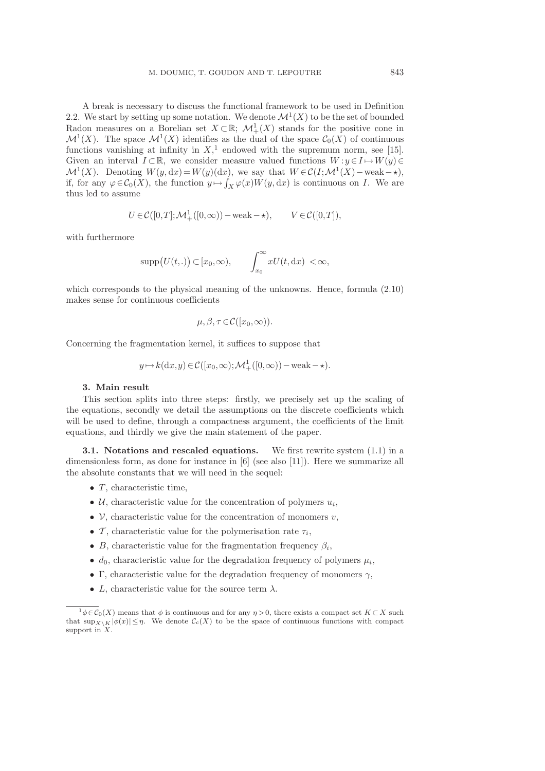A break is necessary to discuss the functional framework to be used in Definition 2.2. We start by setting up some notation. We denote  $\mathcal{M}^1(X)$  to be the set of bounded Radon measures on a Borelian set  $X \subset \mathbb{R}$ ;  $\mathcal{M}^1_+(X)$  stands for the positive cone in  $\mathcal{M}^1(X)$ . The space  $\mathcal{M}^1(X)$  identifies as the dual of the space  $\mathcal{C}_0(X)$  of continuous functions vanishing at infinity in  $X$ ,<sup>1</sup> endowed with the supremum norm, see [15]. Given an interval  $I \subset \mathbb{R}$ , we consider measure valued functions  $W : y \in I \mapsto W(y) \in$  $\mathcal{M}^1(X)$ . Denoting  $W(y, dx) = W(y)(dx)$ , we say that  $W \in \mathcal{C}(I; \mathcal{M}^1(X) - \text{weak} - \star)$ , if, for any  $\varphi \in C_0(X)$ , the function  $y \mapsto \int_X \varphi(x) W(y, dx)$  is continuous on I. We are thus led to assume

$$
U \in \mathcal{C}([0,T]; \mathcal{M}^1_+([0,\infty)) - \text{weak} - \star), \qquad V \in \mathcal{C}([0,T]),
$$

with furthermore

$$
\mathrm{supp}\big(U(t,.)\big)\subset [x_0,\infty),\qquad \int_{x_0}^\infty xU(t,\mathrm{d}x) < \infty,
$$

which corresponds to the physical meaning of the unknowns. Hence, formula (2.10) makes sense for continuous coefficients

$$
\mu, \beta, \tau \in \mathcal{C}([x_0, \infty)).
$$

Concerning the fragmentation kernel, it suffices to suppose that

$$
y \mapsto k(dx, y) \in C([x_0, \infty); \mathcal{M}^1_+([0, \infty)) - \text{weak} \to).
$$

### 3. Main result

This section splits into three steps: firstly, we precisely set up the scaling of the equations, secondly we detail the assumptions on the discrete coefficients which will be used to define, through a compactness argument, the coefficients of the limit equations, and thirdly we give the main statement of the paper.

**3.1.** Notations and rescaled equations. We first rewrite system  $(1.1)$  in a dimensionless form, as done for instance in [6] (see also [11]). Here we summarize all the absolute constants that we will need in the sequel:

- $T$ , characteristic time,
- $U$ , characteristic value for the concentration of polymers  $u_i$ ,
- $\mathcal V$ , characteristic value for the concentration of monomers  $v$ ,
- $\mathcal{T}$ , characteristic value for the polymerisation rate  $\tau_i$ ,
- B, characteristic value for the fragmentation frequency  $\beta_i$ ,
- $d_0$ , characteristic value for the degradation frequency of polymers  $\mu_i$ ,
- Γ, characteristic value for the degradation frequency of monomers  $\gamma$ ,
- L, characteristic value for the source term  $\lambda$ .

 $1\phi \in \mathcal{C}_0(X)$  means that  $\phi$  is continuous and for any  $\eta > 0$ , there exists a compact set  $K \subset X$  such that  $\sup_{X\setminus K} |\phi(x)| \leq \eta$ . We denote  $\mathcal{C}_c(X)$  to be the space of continuous functions with compact support in X.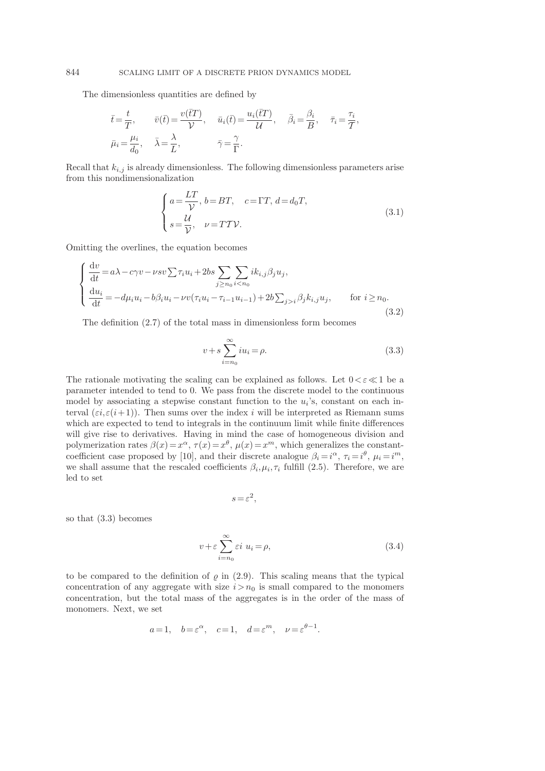The dimensionless quantities are defined by

$$
\bar{t} = \frac{t}{T}, \qquad \bar{v}(\bar{t}) = \frac{v(\bar{t}T)}{\mathcal{V}}, \qquad \bar{u}_i(\bar{t}) = \frac{u_i(\bar{t}T)}{\mathcal{U}}, \qquad \bar{\beta}_i = \frac{\beta_i}{B}, \qquad \bar{\tau}_i = \frac{\tau_i}{T},
$$

$$
\bar{\mu}_i = \frac{\mu_i}{d_0}, \qquad \bar{\lambda} = \frac{\lambda}{L}, \qquad \bar{\gamma} = \frac{\gamma}{\Gamma}.
$$

Recall that  $k_{i,j}$  is already dimensionless. The following dimensionless parameters arise from this nondimensionalization

$$
\begin{cases}\na = \frac{LT}{\mathcal{V}}, \, b = BT, \quad c = \Gamma T, \, d = d_0 T, \\
s = \frac{\mathcal{U}}{\mathcal{V}}, \quad \nu = T \mathcal{T} \mathcal{V}.\n\end{cases} \tag{3.1}
$$

Omitting the overlines, the equation becomes

$$
\begin{cases}\n\frac{\mathrm{d}v}{\mathrm{d}t} = a\lambda - c\gamma v - \nu s v \sum \tau_i u_i + 2bs \sum_{j \ge n_0} \sum_{i < n_0} ik_{i,j} \beta_j u_j, \\
\frac{\mathrm{d}u_i}{\mathrm{d}t} = -d\mu_i u_i - b\beta_i u_i - \nu v (\tau_i u_i - \tau_{i-1} u_{i-1}) + 2b \sum_{j > i} \beta_j k_{i,j} u_j, & \text{for } i \ge n_0.\n\end{cases} \tag{3.2}
$$

The definition (2.7) of the total mass in dimensionless form becomes

$$
v + s \sum_{i=n_0}^{\infty} i u_i = \rho.
$$
 (3.3)

The rationale motivating the scaling can be explained as follows. Let  $0 < \varepsilon \ll 1$  be a parameter intended to tend to 0. We pass from the discrete model to the continuous model by associating a stepwise constant function to the  $u_i$ 's, constant on each interval  $(\varepsilon i, \varepsilon (i+1))$ . Then sums over the index i will be interpreted as Riemann sums which are expected to tend to integrals in the continuum limit while finite differences will give rise to derivatives. Having in mind the case of homogeneous division and polymerization rates  $\beta(x) = x^{\alpha}$ ,  $\tau(x) = x^{\theta}$ ,  $\mu(x) = x^m$ , which generalizes the constantcoefficient case proposed by [10], and their discrete analogue  $\beta_i = i^{\alpha}, \tau_i = i^{\theta}, \mu_i = i^m$ , we shall assume that the rescaled coefficients  $\beta_i, \mu_i, \tau_i$  fulfill (2.5). Therefore, we are led to set

$$
s = \varepsilon^2,
$$

so that (3.3) becomes

$$
v + \varepsilon \sum_{i=n_0}^{\infty} \varepsilon i \ u_i = \rho,
$$
\n(3.4)

to be compared to the definition of  $\rho$  in (2.9). This scaling means that the typical concentration of any aggregate with size  $i > n_0$  is small compared to the monomers concentration, but the total mass of the aggregates is in the order of the mass of monomers. Next, we set

$$
a=1
$$
,  $b=\varepsilon^{\alpha}$ ,  $c=1$ ,  $d=\varepsilon^{m}$ ,  $\nu=\varepsilon^{\theta-1}$ .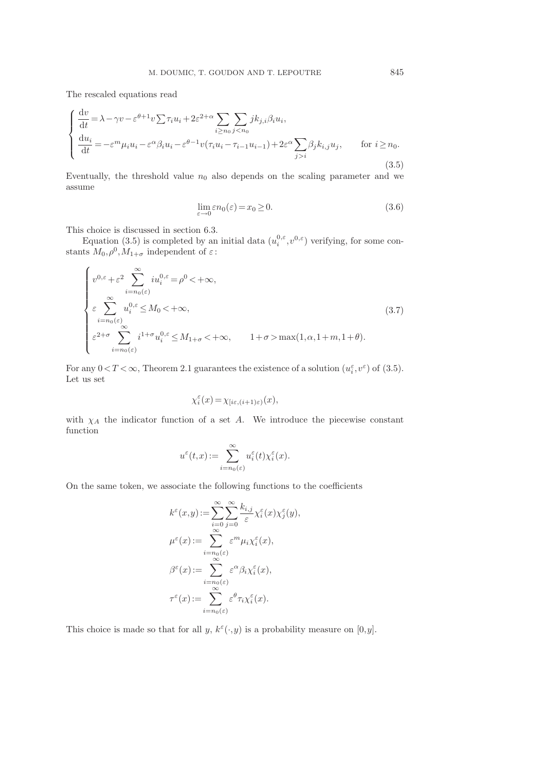The rescaled equations read

$$
\begin{cases} \frac{\mathrm{d}v}{\mathrm{d}t} = \lambda - \gamma v - \varepsilon^{\theta+1} v \sum \tau_i u_i + 2\varepsilon^{2+\alpha} \sum_{i \ge n_0} \sum_{j < n_0} j k_{j,i} \beta_i u_i, \\ \frac{\mathrm{d}u_i}{\mathrm{d}t} = -\varepsilon^m \mu_i u_i - \varepsilon^\alpha \beta_i u_i - \varepsilon^{\theta-1} v(\tau_i u_i - \tau_{i-1} u_{i-1}) + 2\varepsilon^\alpha \sum_{j > i} \beta_j k_{i,j} u_j, \qquad \text{for } i \ge n_0. \end{cases} \tag{3.5}
$$

Eventually, the threshold value  $n_0$  also depends on the scaling parameter and we assume

$$
\lim_{\varepsilon \to 0} \varepsilon n_0(\varepsilon) = x_0 \ge 0. \tag{3.6}
$$

This choice is discussed in section 6.3.

Equation (3.5) is completed by an initial data  $(u_i^{0,\varepsilon}, v^{0,\varepsilon})$  verifying, for some constants  $M_0$ ,  $\rho^0$ ,  $M_{1+\sigma}$  independent of  $\varepsilon$ :

$$
\begin{cases}\nv^{0,\varepsilon} + \varepsilon^2 \sum_{i=n_0(\varepsilon)}^{\infty} i u_i^{0,\varepsilon} = \rho^0 < +\infty, \\
\varepsilon \sum_{i=n_0(\varepsilon)}^{\infty} u_i^{0,\varepsilon} \le M_0 < +\infty, \\
\varepsilon^{2+\sigma} \sum_{i=n_0(\varepsilon)}^{\infty} i^{1+\sigma} u_i^{0,\varepsilon} \le M_{1+\sigma} < +\infty, \qquad 1+\sigma > \max(1,\alpha,1+m,1+\theta).\n\end{cases} (3.7)
$$

For any  $0 < T < \infty$ , Theorem 2.1 guarantees the existence of a solution  $(u_i^{\varepsilon}, v^{\varepsilon})$  of (3.5). Let us set

$$
\chi_i^\varepsilon(x)\!=\!\chi_{[i\varepsilon,(i+1)\varepsilon)}(x),
$$

with  $\chi_A$  the indicator function of a set A. We introduce the piecewise constant function

$$
u^\varepsilon(t,x):=\sum_{i=n_0(\varepsilon)}^\infty u_i^\varepsilon(t)\chi_i^\varepsilon(x).
$$

On the same token, we associate the following functions to the coefficients

$$
k^{\varepsilon}(x,y) := \sum_{i=0}^{\infty} \sum_{j=0}^{\infty} \frac{k_{i,j}}{\varepsilon} \chi_i^{\varepsilon}(x) \chi_j^{\varepsilon}(y),
$$
  

$$
\mu^{\varepsilon}(x) := \sum_{i=n_0(\varepsilon)}^{\infty} \varepsilon^m \mu_i \chi_i^{\varepsilon}(x),
$$
  

$$
\beta^{\varepsilon}(x) := \sum_{i=n_0(\varepsilon)}^{\infty} \varepsilon^{\alpha} \beta_i \chi_i^{\varepsilon}(x),
$$
  

$$
\tau^{\varepsilon}(x) := \sum_{i=n_0(\varepsilon)}^{\infty} \varepsilon^{\theta} \tau_i \chi_i^{\varepsilon}(x).
$$

This choice is made so that for all  $y, k^{\varepsilon}(\cdot, y)$  is a probability measure on  $[0, y]$ .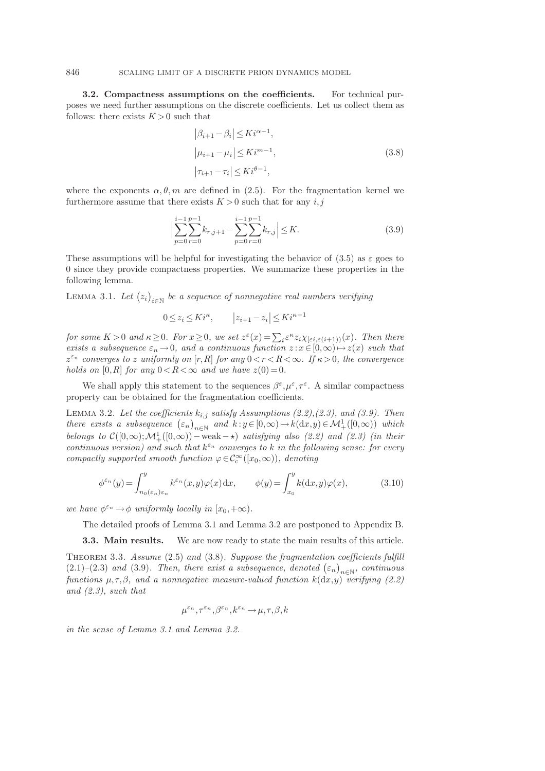3.2. Compactness assumptions on the coefficients. For technical purposes we need further assumptions on the discrete coefficients. Let us collect them as follows: there exists  $K > 0$  such that

$$
\begin{aligned} \left|\beta_{i+1} - \beta_i\right| &\leq K i^{\alpha - 1}, \\ \left|\mu_{i+1} - \mu_i\right| &\leq K i^{m-1}, \\ \left|\tau_{i+1} - \tau_i\right| &\leq K i^{\theta - 1}, \end{aligned} \tag{3.8}
$$

where the exponents  $\alpha, \theta, m$  are defined in (2.5). For the fragmentation kernel we furthermore assume that there exists  $K > 0$  such that for any  $i, j$ 

$$
\left| \sum_{p=0}^{i-1} \sum_{r=0}^{p-1} k_{r,j+1} - \sum_{p=0}^{i-1} \sum_{r=0}^{p-1} k_{r,j} \right| \le K. \tag{3.9}
$$

These assumptions will be helpful for investigating the behavior of (3.5) as  $\varepsilon$  goes to 0 since they provide compactness properties. We summarize these properties in the following lemma.

LEMMA 3.1. Let  $(z_i)_{i \in \mathbb{N}}$  be a sequence of nonnegative real numbers verifying

$$
0 \le z_i \le K i^{\kappa}, \qquad |z_{i+1} - z_i| \le K i^{\kappa - 1}
$$

for some  $K > 0$  and  $\kappa \geq 0$ . For  $x \geq 0$ , we set  $z^{\varepsilon}(x) = \sum_i \varepsilon^{\kappa} z_i \chi_{[\varepsilon i, \varepsilon (i+1))}(x)$ . Then there exists a subsequence  $\varepsilon_n \to 0$ , and a continuous function  $z : x \in [0,\infty) \mapsto z(x)$  such that  $z^{\varepsilon_n}$  converges to z uniformly on  $[r, R]$  for any  $0 < r < R < \infty$ . If  $\kappa > 0$ , the convergence holds on [0, R] for any  $0 < R < \infty$  and we have  $z(0) = 0$ .

We shall apply this statement to the sequences  $\beta^{\varepsilon}, \mu^{\varepsilon}, \tau^{\varepsilon}$ . A similar compactness property can be obtained for the fragmentation coefficients.

LEMMA 3.2. Let the coefficients  $k_{i,j}$  satisfy Assumptions (2.2),(2.3), and (3.9). Then there exists a subsequence  $(\varepsilon_n)_{n\in\mathbb{N}}$  and  $k: y \in [0,\infty) \to k(\mathrm{d}x,y) \in \mathcal{M}^1_+([0,\infty))$  which belongs to  $\mathcal{C}([0,\infty);\mathcal{M}^1_+([0,\infty))$  – weak –  $\star)$  satisfying also (2.2) and (2.3) (in their continuous version) and such that  $k^{\varepsilon_n}$  converges to k in the following sense: for every compactly supported smooth function  $\varphi \in C_c^{\infty}([x_0, \infty))$ , denoting

$$
\phi^{\varepsilon_n}(y) = \int_{n_0(\varepsilon_n)\varepsilon_n}^y k^{\varepsilon_n}(x, y)\varphi(x) dx, \qquad \phi(y) = \int_{x_0}^y k(\mathrm{d}x, y)\varphi(x), \tag{3.10}
$$

we have  $\phi^{\varepsilon_n} \to \phi$  uniformly locally in  $[x_0, +\infty)$ .

The detailed proofs of Lemma 3.1 and Lemma 3.2 are postponed to Appendix B.

3.3. Main results. We are now ready to state the main results of this article.

THEOREM 3.3. Assume  $(2.5)$  and  $(3.8)$ . Suppose the fragmentation coefficients fulfill (2.1)–(2.3) and (3.9). Then, there exist a subsequence, denoted  $(\varepsilon_n)_{n\in\mathbb{N}}$ , continuous functions  $\mu, \tau, \beta$ , and a nonnegative measure-valued function  $k(dx,y)$  verifying (2.2) and  $(2.3)$ , such that

$$
\mu^{\varepsilon_n},\tau^{\varepsilon_n},\beta^{\varepsilon_n},k^{\varepsilon_n}\to\mu,\tau,\beta,k
$$

in the sense of Lemma 3.1 and Lemma 3.2.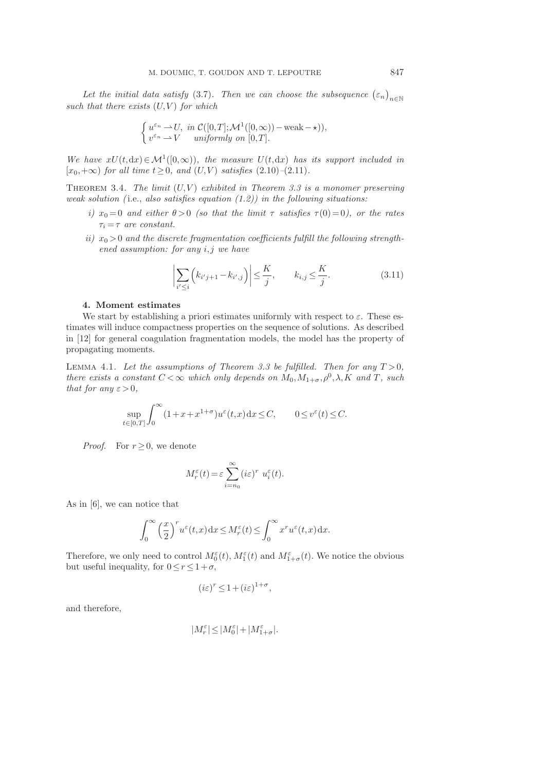Let the initial data satisfy (3.7). Then we can choose the subsequence  $(\varepsilon_n)_{n\in\mathbb{N}}$ such that there exists  $(U, V)$  for which

$$
\begin{cases}\n u^{\varepsilon_n} \to U, &\text{in } \mathcal{C}([0,T]; \mathcal{M}^1([0,\infty)) - \text{weak} - \star), \\
v^{\varepsilon_n} \to V & \text{uniformly on } [0,T].\n\end{cases}
$$

We have  $xU(t, dx) \in M^1([0, \infty))$ , the measure  $U(t, dx)$  has its support included in  $[x_0,+\infty)$  for all time  $t\geq 0$ , and  $(U,V)$  satisfies  $(2.10)-(2.11)$ .

THEOREM 3.4. The limit  $(U,V)$  exhibited in Theorem 3.3 is a monomer preserving weak solution (i.e., also satisfies equation  $(1.2)$ ) in the following situations:

- i)  $x_0 = 0$  and either  $\theta > 0$  (so that the limit  $\tau$  satisfies  $\tau(0) = 0$ ), or the rates  $\tau_i = \tau$  are constant.
- ii)  $x_0 > 0$  and the discrete fragmentation coefficients fulfill the following strength $ened$  assumption: for any  $i, j$  we have

$$
\left| \sum_{i' \le i} \left( k_{i'j+1} - k_{i',j} \right) \right| \le \frac{K}{j}, \qquad k_{i,j} \le \frac{K}{j}.
$$
\n(3.11)

## 4. Moment estimates

We start by establishing a priori estimates uniformly with respect to  $\varepsilon$ . These estimates will induce compactness properties on the sequence of solutions. As described in [12] for general coagulation fragmentation models, the model has the property of propagating moments.

LEMMA 4.1. Let the assumptions of Theorem 3.3 be fulfilled. Then for any  $T > 0$ , there exists a constant  $C < \infty$  which only depends on  $M_0, M_{1+\sigma}, \rho^0, \lambda, K$  and T, such that for any  $\varepsilon > 0$ ,

$$
\sup_{t \in [0,T]} \int_0^\infty (1+x+x^{1+\sigma}) u^\varepsilon(t,x) \, \mathrm{d}x \le C, \qquad 0 \le v^\varepsilon(t) \le C.
$$

*Proof.* For  $r > 0$ , we denote

$$
M_r^{\varepsilon}(t) = \varepsilon \sum_{i=n_0}^{\infty} (i\varepsilon)^r u_i^{\varepsilon}(t).
$$

As in [6], we can notice that

$$
\int_0^\infty \left(\frac{x}{2}\right)^r u^\varepsilon(t,x) \, dx \le M_r^\varepsilon(t) \le \int_0^\infty x^r u^\varepsilon(t,x) \, dx.
$$

Therefore, we only need to control  $M_0^{\varepsilon}(t)$ ,  $M_1^{\varepsilon}(t)$  and  $M_{1+\sigma}^{\varepsilon}(t)$ . We notice the obvious but useful inequality, for  $0 \le r \le 1+\sigma$ ,

$$
(i\varepsilon)^r \le 1 + (i\varepsilon)^{1+\sigma},
$$

and therefore,

$$
|M_r^\varepsilon|\!\leq\!|M_0^\varepsilon| \!+\! |M_{1+\sigma}^\varepsilon|.
$$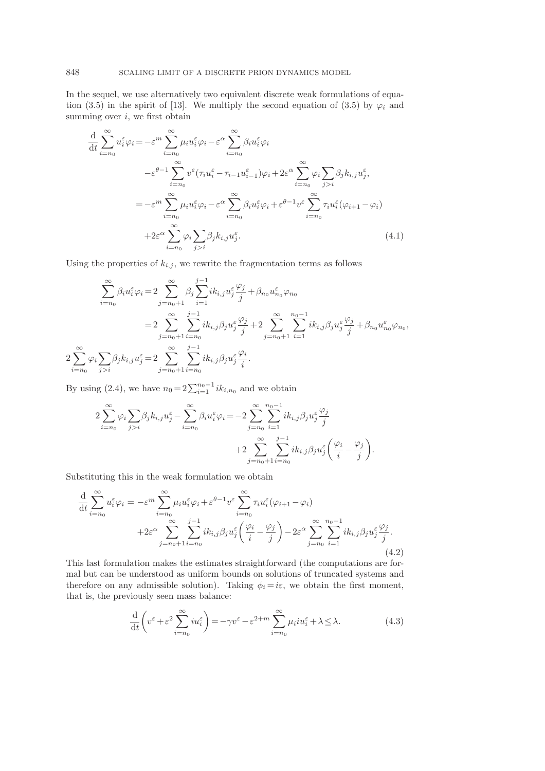In the sequel, we use alternatively two equivalent discrete weak formulations of equation (3.5) in the spirit of [13]. We multiply the second equation of (3.5) by  $\varphi_i$  and summing over  $i$ , we first obtain

$$
\frac{\mathrm{d}}{\mathrm{d}t} \sum_{i=n_0}^{\infty} u_i^{\varepsilon} \varphi_i = -\varepsilon^m \sum_{i=n_0}^{\infty} \mu_i u_i^{\varepsilon} \varphi_i - \varepsilon^{\alpha} \sum_{i=n_0}^{\infty} \beta_i u_i^{\varepsilon} \varphi_i
$$
\n
$$
-\varepsilon^{\theta-1} \sum_{i=n_0}^{\infty} v^{\varepsilon} (\tau_i u_i^{\varepsilon} - \tau_{i-1} u_{i-1}^{\varepsilon}) \varphi_i + 2\varepsilon^{\alpha} \sum_{i=n_0}^{\infty} \varphi_i \sum_{j>i} \beta_j k_{i,j} u_j^{\varepsilon},
$$
\n
$$
= -\varepsilon^m \sum_{i=n_0}^{\infty} \mu_i u_i^{\varepsilon} \varphi_i - \varepsilon^{\alpha} \sum_{i=n_0}^{\infty} \beta_i u_i^{\varepsilon} \varphi_i + \varepsilon^{\theta-1} v^{\varepsilon} \sum_{i=n_0}^{\infty} \tau_i u_i^{\varepsilon} (\varphi_{i+1} - \varphi_i)
$$
\n
$$
+ 2\varepsilon^{\alpha} \sum_{i=n_0}^{\infty} \varphi_i \sum_{j>i} \beta_j k_{i,j} u_j^{\varepsilon}.
$$
\n(4.1)

Using the properties of  $k_{i,j}$ , we rewrite the fragmentation terms as follows

$$
\sum_{i=n_0}^{\infty} \beta_i u_i^{\varepsilon} \varphi_i = 2 \sum_{j=n_0+1}^{\infty} \beta_j \sum_{i=1}^{j-1} i k_{i,j} u_j^{\varepsilon} \frac{\varphi_j}{j} + \beta_{n_0} u_{n_0}^{\varepsilon} \varphi_{n_0}
$$
  

$$
= 2 \sum_{j=n_0+1}^{\infty} \sum_{i=n_0}^{j-1} i k_{i,j} \beta_j u_j^{\varepsilon} \frac{\varphi_j}{j} + 2 \sum_{j=n_0+1}^{\infty} \sum_{i=1}^{n_0-1} i k_{i,j} \beta_j u_j^{\varepsilon} \frac{\varphi_j}{j} + \beta_{n_0} u_{n_0}^{\varepsilon} \varphi_{n_0},
$$
  

$$
2 \sum_{i=n_0}^{\infty} \varphi_i \sum_{j>i} \beta_j k_{i,j} u_j^{\varepsilon} = 2 \sum_{j=n_0+1}^{\infty} \sum_{i=n_0}^{j-1} i k_{i,j} \beta_j u_j^{\varepsilon} \frac{\varphi_i}{i}.
$$

By using (2.4), we have  $n_0 = 2\sum_{i=1}^{n_0-1} ik_{i,n_0}$  and we obtain

$$
2\sum_{i=n_0}^{\infty} \varphi_i \sum_{j>i} \beta_j k_{i,j} u_j^{\varepsilon} - \sum_{i=n_0}^{\infty} \beta_i u_i^{\varepsilon} \varphi_i = -2 \sum_{j=n_0}^{\infty} \sum_{i=1}^{n_0-1} i k_{i,j} \beta_j u_j^{\varepsilon} \frac{\varphi_j}{j} + 2 \sum_{j=n_0+1}^{\infty} \sum_{i=n_0}^{j-1} i k_{i,j} \beta_j u_j^{\varepsilon} \left( \frac{\varphi_i}{i} - \frac{\varphi_j}{j} \right).
$$

Substituting this in the weak formulation we obtain

$$
\frac{\mathrm{d}}{\mathrm{d}t} \sum_{i=n_0}^{\infty} u_i^{\varepsilon} \varphi_i = -\varepsilon^m \sum_{i=n_0}^{\infty} \mu_i u_i^{\varepsilon} \varphi_i + \varepsilon^{\theta-1} v^{\varepsilon} \sum_{i=n_0}^{\infty} \tau_i u_i^{\varepsilon} (\varphi_{i+1} - \varphi_i) \n+ 2\varepsilon^{\alpha} \sum_{j=n_0+1}^{\infty} \sum_{i=n_0}^{j-1} ik_{i,j} \beta_j u_j^{\varepsilon} \left( \frac{\varphi_i}{i} - \frac{\varphi_j}{j} \right) - 2\varepsilon^{\alpha} \sum_{j=n_0}^{\infty} \sum_{i=1}^{n_0-1} ik_{i,j} \beta_j u_j^{\varepsilon} \frac{\varphi_j}{j}.
$$
\n(4.2)

This last formulation makes the estimates straightforward (the computations are formal but can be understood as uniform bounds on solutions of truncated systems and therefore on any admissible solution). Taking  $\phi_i = i\varepsilon$ , we obtain the first moment, that is, the previously seen mass balance:

$$
\frac{\mathrm{d}}{\mathrm{d}t}\left(v^{\varepsilon}+\varepsilon^{2}\sum_{i=n_{0}}^{\infty}iu_{i}^{\varepsilon}\right)=-\gamma v^{\varepsilon}-\varepsilon^{2+m}\sum_{i=n_{0}}^{\infty}\mu_{i}iu_{i}^{\varepsilon}+\lambda\leq\lambda.\tag{4.3}
$$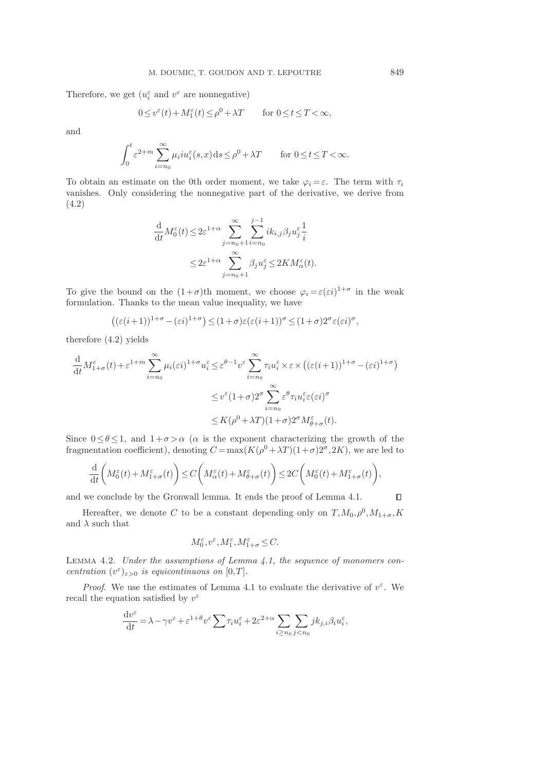Therefore, we get  $(u_i^{\varepsilon}$  and  $v^{\varepsilon}$  are nonnegative)

$$
0 \le v^{\varepsilon}(t) + M_1^{\varepsilon}(t) \le \rho^0 + \lambda T \qquad \text{for } 0 \le t \le T < \infty,
$$

and

$$
\int_0^t \varepsilon^{2+m} \sum_{i=n_0}^\infty \mu_i i u_i^\varepsilon(s, x) \, ds \le \rho^0 + \lambda T \qquad \text{for } 0 \le t \le T < \infty.
$$

To obtain an estimate on the 0th order moment, we take  $\varphi_i = \varepsilon$ . The term with  $\tau_i$ vanishes. Only considering the nonnegative part of the derivative, we derive from (4.2)

$$
\frac{\mathrm{d}}{\mathrm{d}t} M_0^{\varepsilon}(t) \leq 2\varepsilon^{1+\alpha} \sum_{j=n_0+1}^{\infty} \sum_{i=n_0}^{j-1} i k_{i,j} \beta_j u_j^{\varepsilon} \frac{1}{i}
$$
\n
$$
\leq 2\varepsilon^{1+\alpha} \sum_{j=n_0+1}^{\infty} \beta_j u_j^{\varepsilon} \leq 2KM_{\alpha}^{\varepsilon}(t).
$$

To give the bound on the  $(1+\sigma)$ th moment, we choose  $\varphi_i = \varepsilon(\varepsilon i)^{1+\sigma}$  in the weak formulation. Thanks to the mean value inequality, we have

$$
((\varepsilon(i+1))^{1+\sigma} - (\varepsilon i)^{1+\sigma}) \le (1+\sigma)\varepsilon(\varepsilon(i+1))^\sigma \le (1+\sigma)2^\sigma \varepsilon(\varepsilon i)^\sigma,
$$

therefore (4.2) yields

$$
\frac{\mathrm{d}}{\mathrm{d}t} M_{1+\sigma}^{\varepsilon}(t) + \varepsilon^{1+m} \sum_{i=n_0}^{\infty} \mu_i(\varepsilon i)^{1+\sigma} u_i^{\varepsilon} \leq \varepsilon^{\theta-1} v^{\varepsilon} \sum_{i=n_0}^{\infty} \tau_i u_i^{\varepsilon} \times \varepsilon \times \left( (\varepsilon (i+1))^{1+\sigma} - (\varepsilon i)^{1+\sigma} \right)
$$

$$
\leq v^{\varepsilon} (1+\sigma) 2^{\sigma} \sum_{i=n_0}^{\infty} \varepsilon^{\theta} \tau_i u_i^{\varepsilon} \varepsilon(\varepsilon i)^{\sigma}
$$

$$
\leq K(\rho^0 + \lambda T)(1+\sigma) 2^{\sigma} M_{\theta+\sigma}^{\varepsilon}(t).
$$

Since  $0 \leq \theta \leq 1$ , and  $1+\sigma > \alpha$  ( $\alpha$  is the exponent characterizing the growth of the fragmentation coefficient), denoting  $C = \max(K(\rho^0 + \lambda T)(1+\sigma)2^{\sigma}, 2K)$ , we are led to

$$
\frac{\mathrm{d}}{\mathrm{d} t}\bigg(M_0^\varepsilon(t)+M_{1+\sigma}^\varepsilon(t)\bigg)\!\leq\! C\bigg(M_\alpha^\varepsilon(t)+M_{\theta+\sigma}^\varepsilon(t)\bigg)\!\leq\! 2C\bigg(M_0^\varepsilon(t)+M_{1+\sigma}^\varepsilon(t)\bigg),
$$

and we conclude by the Gronwall lemma. It ends the proof of Lemma 4.1.

Hereafter, we denote C to be a constant depending only on  $T, M_0, \rho^0, M_{1+\sigma}, K$ and  $\lambda$  such that

$$
M_0^\varepsilon, v^\varepsilon, M_1^\varepsilon, M_{1+\sigma}^\varepsilon\leq C.
$$

LEMMA 4.2. Under the assumptions of Lemma  $4.1$ , the sequence of monomers concentration  $(v^{\varepsilon})_{\varepsilon>0}$  is equicontinuous on  $[0,T]$ .

*Proof.* We use the estimates of Lemma 4.1 to evaluate the derivative of  $v^{\varepsilon}$ . We recall the equation satisfied by  $v^{\varepsilon}$ 

$$
\frac{\mathrm{d}v^\varepsilon}{\mathrm{d}t} = \lambda - \gamma v^\varepsilon + \varepsilon^{1+\theta} v^\varepsilon \sum \tau_i u_i^\varepsilon + 2\varepsilon^{2+\alpha} \sum_{i \ge n_0} \sum_{j < n_0} j k_{j,i} \beta_i u_i^\varepsilon,
$$

 $\Box$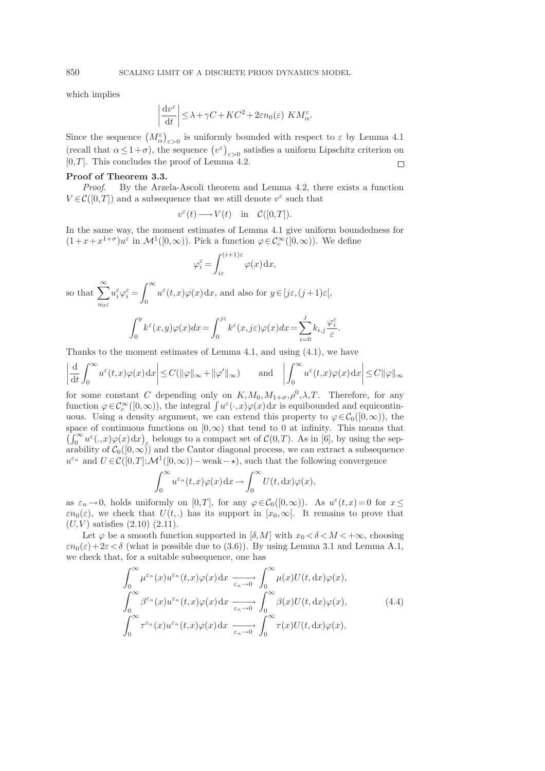which implies

$$
\left|\frac{\mathrm{d}v^{\varepsilon}}{\mathrm{d}t}\right| \leq \lambda + \gamma C + KC^2 + 2\varepsilon n_0(\varepsilon) \ KM_{\alpha}^{\varepsilon}.
$$

Since the sequence  $(M_{\alpha}^{\varepsilon})_{\varepsilon>0}$  is uniformly bounded with respect to  $\varepsilon$  by Lemma 4.1 (recall that  $\alpha \leq 1+\sigma$ ), the sequence  $(v^{\varepsilon})_{\varepsilon>0}$  satisfies a uniform Lipschitz criterion on  $[0,T]$ . This concludes the proof of Lemma 4.2.  $\Box$ 

### Proof of Theorem 3.3.

Proof. By the Arzela-Ascoli theorem and Lemma 4.2, there exists a function  $V\!\in\!\mathcal{C}([0,T])$  and a subsequence that we still denote  $v^\varepsilon$  such that

$$
v^{\varepsilon}(t) \longrightarrow V(t)
$$
 in  $\mathcal{C}([0,T]).$ 

In the same way, the moment estimates of Lemma 4.1 give uniform boundedness for  $(1+x+x^{1+\sigma})u^{\varepsilon}$  in  $\mathcal{M}^1([0,\infty))$ . Pick a function  $\varphi \in \mathcal{C}_c^{\infty}([0,\infty))$ . We define

$$
\varphi_i^{\varepsilon} = \int_{i\varepsilon}^{(i+1)\varepsilon} \varphi(x) \, \mathrm{d}x,
$$

so that  $\sum_{n=1}^{\infty}$  $n_0 \varepsilon$  $u_i^{\varepsilon} \varphi_i^{\varepsilon} = \int_{0}^{\infty}$ 0  $u^{\varepsilon}(t,x)\varphi(x)\,\mathrm{d}x$ , and also for  $y\in[j\varepsilon,(j+1)\varepsilon[,$ 

$$
\int_0^y k^{\varepsilon}(x,y)\varphi(x)dx = \int_0^{j\varepsilon} k^{\varepsilon}(x,j\varepsilon)\varphi(x)dx = \sum_{i=0}^j k_{i,j} \frac{\varphi_i^{\varepsilon}}{\varepsilon}.
$$

Thanks to the moment estimates of Lemma 4.1, and using (4.1), we have

$$
\left|\frac{\mathrm{d}}{\mathrm{d}t}\int_0^\infty u^\varepsilon(t,x)\varphi(x)\,\mathrm{d}x\right|\leq C(\|\varphi\|_\infty+\|\varphi'\|_\infty)\qquad\text{and}\quad\left|\int_0^\infty u^\varepsilon(t,x)\varphi(x)\,\mathrm{d}x\right|\leq C\|\varphi\|_\infty
$$

for some constant C depending only on  $K, M_0, M_{1+\sigma}, \rho^0, \lambda, T$ . Therefore, for any function  $\varphi \in C_c^{\infty}([0,\infty))$ , the integral  $\int u^{\varepsilon}(\cdot,x)\varphi(x)dx$  is equibounded and equicontinuous. Using a density argument, we can extend this property to  $\varphi \in C_0([0,\infty))$ , the space of continuous functions on  $[0,\infty)$  that tend to 0 at infinity. This means that  $\left(\int_0^\infty u^{\varepsilon}(\cdot,x)\varphi(x)\,\mathrm{d}x\right)_{\varepsilon}$  belongs to a compact set of  $\mathcal{C}(0,T)$ . As in [6], by using the separability of  $C_0([0,\infty))$  and the Cantor diagonal process, we can extract a subsequence  $u^{\varepsilon_n}$  and  $U \in \mathcal{C}([0,T]; \mathcal{M}^1([0,\infty))-\text{weak}-\star)$ , such that the following convergence

$$
\int_0^\infty u^{\varepsilon_n}(t,x)\varphi(x)\,\mathrm{d}x \to \int_0^\infty U(t,\mathrm{d}x)\varphi(x),
$$

as  $\varepsilon_n \to 0$ , holds uniformly on [0,*T*], for any  $\varphi \in C_0([0,\infty))$ . As  $u^{\varepsilon}(t,x) = 0$  for  $x \leq$  $\varepsilon n_0(\varepsilon)$ , we check that  $U(t,.)$  has its support in  $[x_0,\infty]$ . It remains to prove that  $(U, V)$  satisfies  $(2.10)$   $(2.11)$ .

Let  $\varphi$  be a smooth function supported in  $[\delta, M]$  with  $x_0 < \delta < M < +\infty$ , choosing  $\varepsilon n_0(\varepsilon) + 2\varepsilon < \delta$  (what is possible due to (3.6)). By using Lemma 3.1 and Lemma A.1, we check that, for a suitable subsequence, one has

$$
\int_0^\infty \mu^{\varepsilon_n}(x) u^{\varepsilon_n}(t,x) \varphi(x) dx \xrightarrow[\varepsilon_n \to 0]{} \int_0^\infty \mu(x) U(t, dx) \varphi(x),
$$
\n
$$
\int_0^\infty \beta^{\varepsilon_n}(x) u^{\varepsilon_n}(t,x) \varphi(x) dx \xrightarrow[\varepsilon_n \to 0]{} \int_0^\infty \beta(x) U(t, dx) \varphi(x),
$$
\n
$$
\int_0^\infty \tau^{\varepsilon_n}(x) u^{\varepsilon_n}(t,x) \varphi(x) dx \xrightarrow[\varepsilon_n \to 0]{} \int_0^\infty \tau(x) U(t, dx) \varphi(x),
$$
\n(4.4)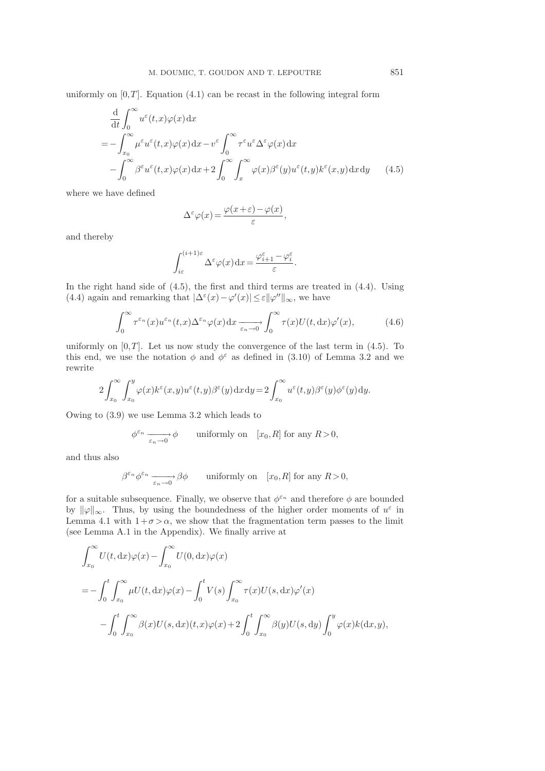uniformly on  $[0,T]$ . Equation  $(4.1)$  can be recast in the following integral form

$$
\frac{d}{dt} \int_0^\infty u^\varepsilon(t,x)\varphi(x) dx
$$
\n
$$
= -\int_{x_0}^\infty \mu^\varepsilon u^\varepsilon(t,x)\varphi(x) dx - v^\varepsilon \int_0^\infty \tau^\varepsilon u^\varepsilon \Delta^\varepsilon \varphi(x) dx
$$
\n
$$
- \int_0^\infty \beta^\varepsilon u^\varepsilon(t,x)\varphi(x) dx + 2 \int_0^\infty \int_x^\infty \varphi(x)\beta^\varepsilon(y)u^\varepsilon(t,y)k^\varepsilon(x,y) dx dy \qquad (4.5)
$$

where we have defined

$$
\Delta^{\varepsilon}\varphi(x) = \frac{\varphi(x+\varepsilon) - \varphi(x)}{\varepsilon},
$$

and thereby

$$
\int_{i\varepsilon}^{(i+1)\varepsilon} \Delta^\varepsilon \varphi(x) \,\mathrm{d} x \!=\! \frac{\varphi_{i+1}^\varepsilon - \varphi_i^\varepsilon}{\varepsilon}.
$$

In the right hand side of (4.5), the first and third terms are treated in (4.4). Using (4.4) again and remarking that  $|\Delta^{\varepsilon}(x) - \varphi'(x)| \leq \varepsilon ||\varphi''||_{\infty}$ , we have

$$
\int_0^\infty \tau^{\varepsilon_n}(x) u^{\varepsilon_n}(t,x) \Delta^{\varepsilon_n} \varphi(x) \, \mathrm{d}x \xrightarrow[\varepsilon_n \to 0]{} \int_0^\infty \tau(x) U(t, \mathrm{d}x) \varphi'(x), \tag{4.6}
$$

uniformly on  $[0,T]$ . Let us now study the convergence of the last term in  $(4.5)$ . To this end, we use the notation  $\phi$  and  $\phi^{\varepsilon}$  as defined in (3.10) of Lemma 3.2 and we rewrite

$$
2\int_{x_0}^{\infty}\int_{x_0}^{y}\varphi(x)k^{\varepsilon}(x,y)u^{\varepsilon}(t,y)\beta^{\varepsilon}(y)\,\mathrm{d}x\,\mathrm{d}y=2\int_{x_0}^{\infty}u^{\varepsilon}(t,y)\beta^{\varepsilon}(y)\phi^{\varepsilon}(y)\,\mathrm{d}y.
$$

Owing to (3.9) we use Lemma 3.2 which leads to

$$
\phi^{\varepsilon_n} \xrightarrow[\varepsilon_n \to 0]{} \phi \qquad \text{uniformly on} \quad [x_0, R] \text{ for any } R > 0,
$$

and thus also

$$
\beta^{\varepsilon_n} \phi^{\varepsilon_n} \xrightarrow[\varepsilon_n \to 0]{} \beta\phi \qquad \text{uniformly on} \quad [x_0, R] \text{ for any } R > 0,
$$

for a suitable subsequence. Finally, we observe that  $\phi^{\varepsilon_n}$  and therefore  $\phi$  are bounded by  $\|\varphi\|_{\infty}$ . Thus, by using the boundedness of the higher order moments of  $u^{\varepsilon}$  in Lemma 4.1 with  $1+\sigma > \alpha$ , we show that the fragmentation term passes to the limit (see Lemma A.1 in the Appendix). We finally arrive at

$$
\int_{x_0}^{\infty} U(t, dx)\varphi(x) - \int_{x_0}^{\infty} U(0, dx)\varphi(x)
$$
  
= 
$$
- \int_0^t \int_{x_0}^{\infty} \mu U(t, dx)\varphi(x) - \int_0^t V(s) \int_{x_0}^{\infty} \tau(x)U(s, dx)\varphi'(x)
$$

$$
- \int_0^t \int_{x_0}^{\infty} \beta(x)U(s, dx)(t, x)\varphi(x) + 2 \int_0^t \int_{x_0}^{\infty} \beta(y)U(s, dy) \int_0^y \varphi(x)k(dx, y),
$$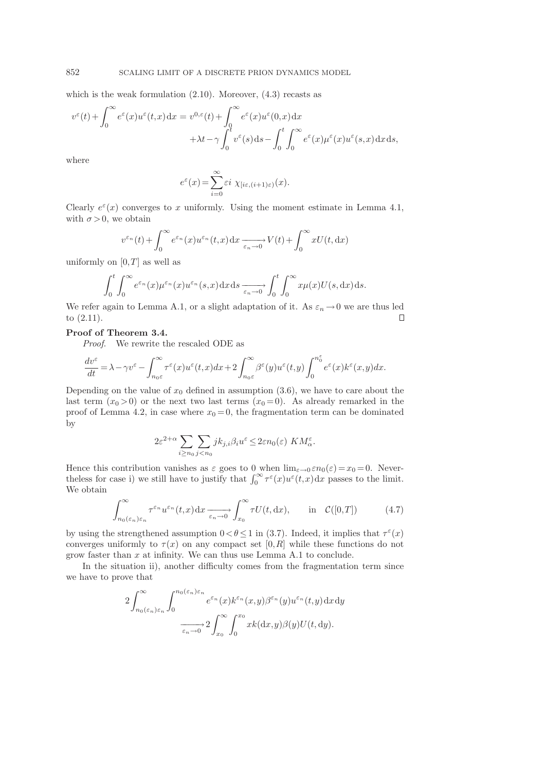which is the weak formulation  $(2.10)$ . Moreover,  $(4.3)$  recasts as

$$
v^{\varepsilon}(t) + \int_0^{\infty} e^{\varepsilon}(x)u^{\varepsilon}(t,x)dx = v^{0,\varepsilon}(t) + \int_0^{\infty} e^{\varepsilon}(x)u^{\varepsilon}(0,x)dx + \lambda t - \gamma \int_0^t v^{\varepsilon}(s)ds - \int_0^t \int_0^{\infty} e^{\varepsilon}(x)u^{\varepsilon}(x)u^{\varepsilon}(s,x)dxds,
$$

where

$$
e^{\varepsilon}(x) = \sum_{i=0}^{\infty} \varepsilon i \ \chi_{[i\varepsilon,(i+1)\varepsilon)}(x).
$$

Clearly  $e^{\varepsilon}(x)$  converges to x uniformly. Using the moment estimate in Lemma 4.1, with  $\sigma > 0$ , we obtain

$$
v^{\varepsilon_n}(t) + \int_0^\infty e^{\varepsilon_n}(x) u^{\varepsilon_n}(t,x) dx \xrightarrow[\varepsilon_n \to 0]{} V(t) + \int_0^\infty x U(t, dx)
$$

uniformly on  $[0,T]$  as well as

$$
\int_0^t \int_0^\infty e^{\varepsilon_n}(x) \mu^{\varepsilon_n}(x) u^{\varepsilon_n}(s,x) \, dx \, ds \xrightarrow[\varepsilon_n \to 0]{} \int_0^t \int_0^\infty x \mu(x) U(s, dx) \, ds.
$$

We refer again to Lemma A.1, or a slight adaptation of it. As  $\varepsilon_n \to 0$  we are thus led to (2.11) to (2.11).

# Proof of Theorem 3.4.

Proof. We rewrite the rescaled ODE as

$$
\frac{dv^{\varepsilon}}{dt} = \lambda - \gamma v^{\varepsilon} - \int_{n_0 \varepsilon}^{\infty} \tau^{\varepsilon}(x) u^{\varepsilon}(t, x) dx + 2 \int_{n_0 \varepsilon}^{\infty} \beta^{\varepsilon}(y) u^{\varepsilon}(t, y) \int_{0}^{n_0^{\varepsilon}} e^{\varepsilon}(x) k^{\varepsilon}(x, y) dx.
$$

Depending on the value of  $x_0$  defined in assumption  $(3.6)$ , we have to care about the last term  $(x_0 > 0)$  or the next two last terms  $(x_0 = 0)$ . As already remarked in the proof of Lemma 4.2, in case where  $x_0 = 0$ , the fragmentation term can be dominated by

$$
2\varepsilon^{2+\alpha}\sum_{i\geq n_0}\sum_{j
$$

Hence this contribution vanishes as  $\varepsilon$  goes to 0 when  $\lim_{\varepsilon\to 0} \varepsilon n_0(\varepsilon) = x_0 = 0$ . Neverthe less for case i) we still have to justify that  $\int_0^\infty \tau^{\varepsilon}(x) u^{\varepsilon}(t,x) dx$  passes to the limit. We obtain

$$
\int_{n_0(\varepsilon_n)\varepsilon_n}^{\infty} \tau^{\varepsilon_n} u^{\varepsilon_n}(t,x) dx \xrightarrow[\varepsilon_n \to 0]{} \int_{x_0}^{\infty} \tau U(t, dx), \quad \text{in} \quad \mathcal{C}([0,T]) \tag{4.7}
$$

by using the strengthened assumption  $0 < \theta \le 1$  in (3.7). Indeed, it implies that  $\tau^{\varepsilon}(x)$ converges uniformly to  $\tau(x)$  on any compact set [0, R] while these functions do not grow faster than  $x$  at infinity. We can thus use Lemma A.1 to conclude.

In the situation ii), another difficulty comes from the fragmentation term since we have to prove that

$$
2\int_{n_0(\varepsilon_n)\varepsilon_n}^{\infty} \int_0^{n_0(\varepsilon_n)\varepsilon_n} e^{\varepsilon_n}(x) k^{\varepsilon_n}(x,y) \beta^{\varepsilon_n}(y) u^{\varepsilon_n}(t,y) \, dx \, dy
$$

$$
\xrightarrow[\varepsilon_n \to 0]{} 2\int_{x_0}^{\infty} \int_0^{x_0} x k(\mathrm{d}x,y) \beta(y) U(t, \mathrm{d}y).
$$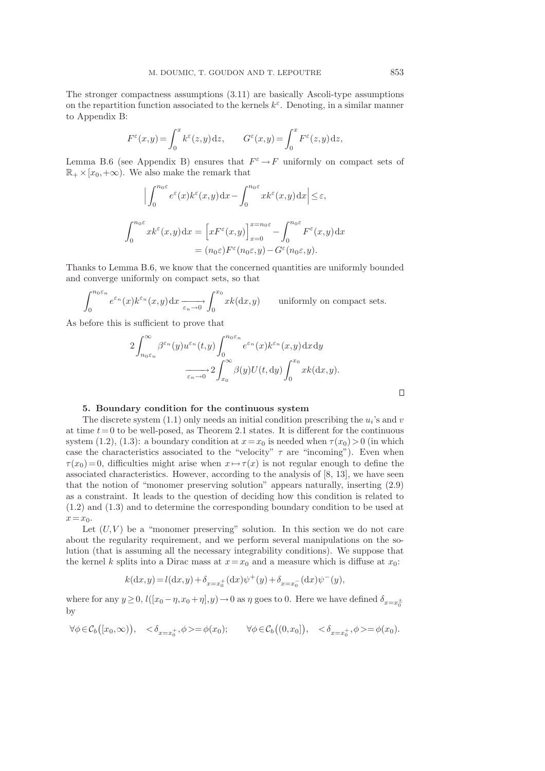The stronger compactness assumptions (3.11) are basically Ascoli-type assumptions on the repartition function associated to the kernels  $k^{\varepsilon}$ . Denoting, in a similar manner to Appendix B:

$$
F^{\varepsilon}(x,y) = \int_0^x k^{\varepsilon}(z,y) dz, \qquad G^{\varepsilon}(x,y) = \int_0^x F^{\varepsilon}(z,y) dz,
$$

Lemma B.6 (see Appendix B) ensures that  $F^{\varepsilon} \to F$  uniformly on compact sets of  $\mathbb{R}_+ \times [x_0, +\infty)$ . We also make the remark that

$$
\left| \int_0^{n_0 \varepsilon} e^{\varepsilon}(x) k^{\varepsilon}(x, y) dx - \int_0^{n_0 \varepsilon} x k^{\varepsilon}(x, y) dx \right| \le \varepsilon,
$$
  

$$
\int_0^{n_0 \varepsilon} x k^{\varepsilon}(x, y) dx = \left[ x F^{\varepsilon}(x, y) \right]_{x=0}^{x=n_0 \varepsilon} - \int_0^{n_0 \varepsilon} F^{\varepsilon}(x, y) dx
$$
  

$$
= (n_0 \varepsilon) F^{\varepsilon}(n_0 \varepsilon, y) - G^{\varepsilon}(n_0 \varepsilon, y).
$$

Thanks to Lemma B.6, we know that the concerned quantities are uniformly bounded and converge uniformly on compact sets, so that

$$
\int_0^{n_0 \varepsilon_n} e^{\varepsilon_n}(x) k^{\varepsilon_n}(x, y) dx \xrightarrow[\varepsilon_n \to 0]{} \int_0^{x_0} x k(dx, y) \qquad \text{uniformly on compact sets.}
$$

As before this is sufficient to prove that

$$
2\int_{n_0\varepsilon_n}^{\infty} \beta^{\varepsilon_n}(y) u^{\varepsilon_n}(t,y) \int_0^{n_0\varepsilon_n} e^{\varepsilon_n}(x) k^{\varepsilon_n}(x,y) \, dx \, dy
$$

$$
\xrightarrow[\varepsilon_n \to 0]{} 2\int_{x_0}^{\infty} \beta(y) U(t, dy) \int_0^{x_0} x k(dx, y).
$$

## 5. Boundary condition for the continuous system

The discrete system  $(1.1)$  only needs an initial condition prescribing the  $u_i$ 's and v at time  $t=0$  to be well-posed, as Theorem 2.1 states. It is different for the continuous system (1.2), (1.3): a boundary condition at  $x=x_0$  is needed when  $\tau(x_0) > 0$  (in which case the characteristics associated to the "velocity"  $\tau$  are "incoming"). Even when  $\tau(x_0) = 0$ , difficulties might arise when  $x \mapsto \tau(x)$  is not regular enough to define the associated characteristics. However, according to the analysis of [8, 13], we have seen that the notion of "monomer preserving solution" appears naturally, inserting (2.9) as a constraint. It leads to the question of deciding how this condition is related to (1.2) and (1.3) and to determine the corresponding boundary condition to be used at  $x=x_0$ .

Let  $(U, V)$  be a "monomer preserving" solution. In this section we do not care about the regularity requirement, and we perform several manipulations on the solution (that is assuming all the necessary integrability conditions). We suppose that the kernel k splits into a Dirac mass at  $x=x_0$  and a measure which is diffuse at  $x_0$ :

$$
k(\mathrm{d}x, y) = l(\mathrm{d}x, y) + \delta_{x = x_0^+}(\mathrm{d}x)\psi^+(y) + \delta_{x = x_0^-}(\mathrm{d}x)\psi^-(y),
$$

where for any  $y \ge 0$ ,  $l([x_0 - \eta, x_0 + \eta], y) \to 0$  as  $\eta$  goes to 0. Here we have defined  $\delta_{x=x_0^{\pm}}$ by

$$
\forall \phi \in \mathcal{C}_b([x_0, \infty)), \quad <\delta_{x=x_0^+}, \phi>=\phi(x_0); \qquad \forall \phi \in \mathcal{C}_b((0, x_0]), \quad <\delta_{x=x_0^+}, \phi>=\phi(x_0).
$$

 $\Box$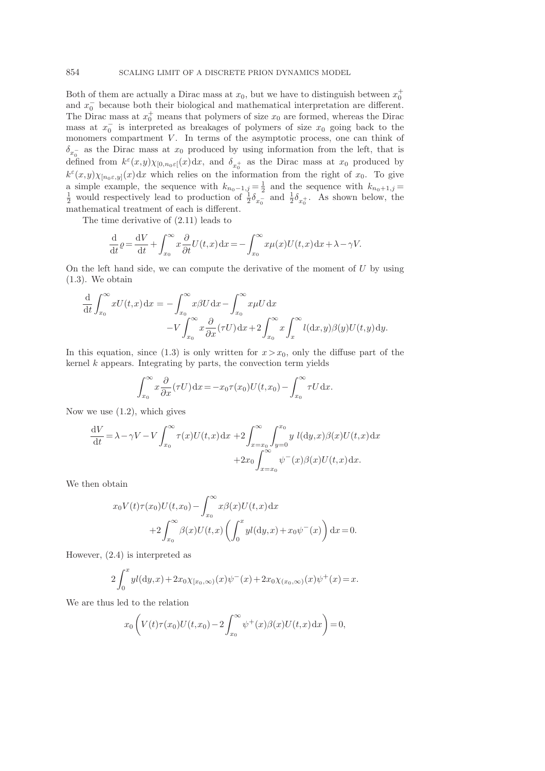Both of them are actually a Dirac mass at  $x_0$ , but we have to distinguish between  $x_0^+$ and  $x_0^-$  because both their biological and mathematical interpretation are different. The Dirac mass at  $x_0^+$  means that polymers of size  $x_0$  are formed, whereas the Dirac mass at  $x_0^-$  is interpreted as breakages of polymers of size  $x_0$  going back to the monomers compartment  $V$ . In terms of the asymptotic process, one can think of  $\delta_{x_0^-}$  as the Dirac mass at  $x_0$  produced by using information from the left, that is defined from  $k^{\varepsilon}(x,y)\chi_{[0,n_0\varepsilon]}(x)dx$ , and  $\delta_{x_0^+}$  as the Dirac mass at  $x_0$  produced by  $k^{\varepsilon}(x,y)\chi_{[n_0\varepsilon,y]}(x)dx$  which relies on the information from the right of  $x_0$ . To give a simple example, the sequence with  $k_{n_0-1,j} = \frac{1}{2}$  and the sequence with  $k_{n_0+1,j} = \frac{1}{2}$  would respectively lead to production of  $\frac{1}{2}\delta_{x_0^-}$  and  $\frac{1}{2}\delta_{x_0^+}$ . As shown below, the mathematical treatment of each is different.

The time derivative of (2.11) leads to

$$
\frac{\mathrm{d}}{\mathrm{d}t} \varrho = \frac{\mathrm{d}V}{\mathrm{d}t} + \int_{x_0}^{\infty} x \frac{\partial}{\partial t} U(t, x) \, \mathrm{d}x = -\int_{x_0}^{\infty} x \mu(x) U(t, x) \, \mathrm{d}x + \lambda - \gamma V.
$$

On the left hand side, we can compute the derivative of the moment of  $U$  by using (1.3). We obtain

$$
\frac{\mathrm{d}}{\mathrm{d}t} \int_{x_0}^{\infty} x U(t, x) \, \mathrm{d}x = -\int_{x_0}^{\infty} x \beta U \, \mathrm{d}x - \int_{x_0}^{\infty} x \mu U \, \mathrm{d}x \n- V \int_{x_0}^{\infty} x \frac{\partial}{\partial x} (\tau U) \, \mathrm{d}x + 2 \int_{x_0}^{\infty} x \int_{x}^{\infty} l(\mathrm{d}x, y) \beta(y) U(t, y) \, \mathrm{d}y.
$$

In this equation, since (1.3) is only written for  $x > x_0$ , only the diffuse part of the kernel  $k$  appears. Integrating by parts, the convection term yields

$$
\int_{x_0}^{\infty} x \frac{\partial}{\partial x} (\tau U) dx = -x_0 \tau(x_0) U(t, x_0) - \int_{x_0}^{\infty} \tau U dx.
$$

Now we use  $(1.2)$ , which gives

$$
\frac{dV}{dt} = \lambda - \gamma V - V \int_{x_0}^{\infty} \tau(x) U(t, x) dx + 2 \int_{x = x_0}^{\infty} \int_{y=0}^{x_0} y l(dy, x) \beta(x) U(t, x) dx \n+ 2x_0 \int_{x=x_0}^{\infty} \psi^-(x) \beta(x) U(t, x) dx.
$$

We then obtain

$$
x_0 V(t) \tau(x_0) U(t, x_0) - \int_{x_0}^{\infty} x \beta(x) U(t, x) dx
$$
  
+2
$$
\int_{x_0}^{\infty} \beta(x) U(t, x) \left( \int_0^x y l(dy, x) + x_0 \psi^-(x) \right) dx = 0.
$$

However, (2.4) is interpreted as

$$
2\int_0^x y l(dy,x) + 2x_0 \chi_{[x_0,\infty)}(x) \psi^-(x) + 2x_0 \chi_{(x_0,\infty)}(x) \psi^+(x) = x.
$$

We are thus led to the relation

$$
x_0 \left( V(t) \tau(x_0) U(t, x_0) - 2 \int_{x_0}^{\infty} \psi^+(x) \beta(x) U(t, x) \, dx \right) = 0,
$$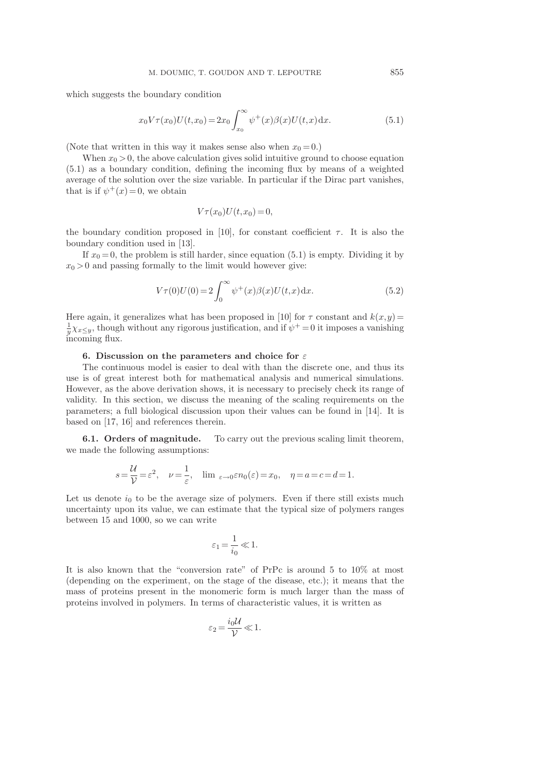which suggests the boundary condition

$$
x_0 V \tau(x_0) U(t, x_0) = 2x_0 \int_{x_0}^{\infty} \psi^+(x) \beta(x) U(t, x) \, dx.
$$
 (5.1)

(Note that written in this way it makes sense also when  $x_0 = 0$ .)

When  $x_0 > 0$ , the above calculation gives solid intuitive ground to choose equation (5.1) as a boundary condition, defining the incoming flux by means of a weighted average of the solution over the size variable. In particular if the Dirac part vanishes, that is if  $\psi^+(x) = 0$ , we obtain

$$
V\tau(x_0)U(t,x_0) = 0,
$$

the boundary condition proposed in [10], for constant coefficient  $\tau$ . It is also the boundary condition used in [13].

If  $x_0 = 0$ , the problem is still harder, since equation (5.1) is empty. Dividing it by  $x_0 > 0$  and passing formally to the limit would however give:

$$
V\tau(0)U(0) = 2\int_0^\infty \psi^+(x)\beta(x)U(t,x) \,dx. \tag{5.2}
$$

Here again, it generalizes what has been proposed in [10] for  $\tau$  constant and  $k(x,y)$  =  $\frac{1}{y}\chi_{x\leq y}$ , though without any rigorous justification, and if  $\psi^+=0$  it imposes a vanishing incoming flux.

## 6. Discussion on the parameters and choice for  $\varepsilon$

The continuous model is easier to deal with than the discrete one, and thus its use is of great interest both for mathematical analysis and numerical simulations. However, as the above derivation shows, it is necessary to precisely check its range of validity. In this section, we discuss the meaning of the scaling requirements on the parameters; a full biological discussion upon their values can be found in [14]. It is based on [17, 16] and references therein.

6.1. Orders of magnitude. To carry out the previous scaling limit theorem, we made the following assumptions:

$$
s = \frac{\mathcal{U}}{\mathcal{V}} = \varepsilon^2
$$
,  $\nu = \frac{1}{\varepsilon}$ ,  $\lim_{\varepsilon \to 0} \varepsilon n_0(\varepsilon) = x_0$ ,  $\eta = a = c = d = 1$ .

Let us denote  $i_0$  to be the average size of polymers. Even if there still exists much uncertainty upon its value, we can estimate that the typical size of polymers ranges between 15 and 1000, so we can write

$$
\varepsilon_1\!=\!\frac{1}{i_0}\!\ll\!1.
$$

It is also known that the "conversion rate" of PrPc is around 5 to 10% at most (depending on the experiment, on the stage of the disease, etc.); it means that the mass of proteins present in the monomeric form is much larger than the mass of proteins involved in polymers. In terms of characteristic values, it is written as

$$
\varepsilon_2 = \frac{i_0 \mathcal{U}}{\mathcal{V}} \ll 1.
$$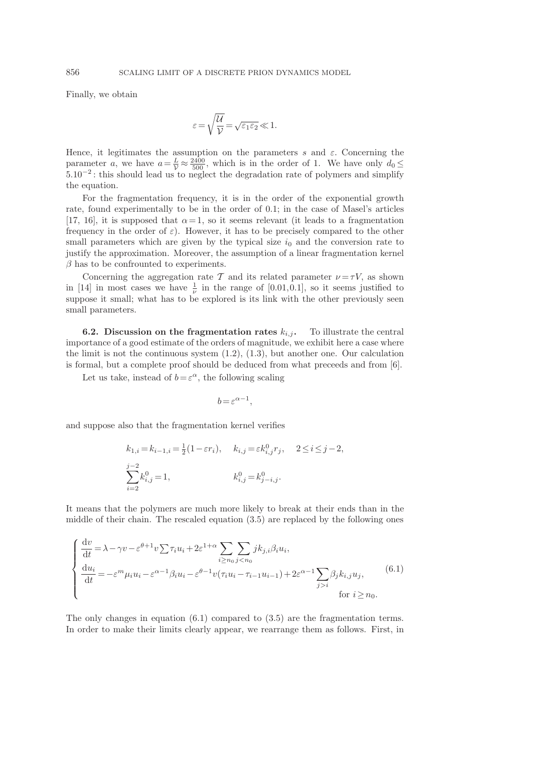Finally, we obtain

$$
\varepsilon = \sqrt{\frac{\mathcal{U}}{\mathcal{V}}} = \sqrt{\varepsilon_1 \varepsilon_2} \ll 1.
$$

Hence, it legitimates the assumption on the parameters s and  $\varepsilon$ . Concerning the parameter a, we have  $a = \frac{L}{V} \approx \frac{2400}{500}$ , which is in the order of 1. We have only  $d_0 \leq$ 5.10−<sup>2</sup> : this should lead us to neglect the degradation rate of polymers and simplify the equation.

For the fragmentation frequency, it is in the order of the exponential growth rate, found experimentally to be in the order of 0.1; in the case of Masel's articles [17, 16], it is supposed that  $\alpha = 1$ , so it seems relevant (it leads to a fragmentation frequency in the order of  $\varepsilon$ ). However, it has to be precisely compared to the other small parameters which are given by the typical size  $i_0$  and the conversion rate to justify the approximation. Moreover, the assumption of a linear fragmentation kernel  $\beta$  has to be confrounted to experiments.

Concerning the aggregation rate T and its related parameter  $\nu = \tau V$ , as shown in [14] in most cases we have  $\frac{1}{\nu}$  in the range of [0.01,0.1], so it seems justified to suppose it small; what has to be explored is its link with the other previously seen small parameters.

**6.2.** Discussion on the fragmentation rates  $k_{i,j}$ . To illustrate the central importance of a good estimate of the orders of magnitude, we exhibit here a case where the limit is not the continuous system (1.2), (1.3), but another one. Our calculation is formal, but a complete proof should be deduced from what preceeds and from [6].

Let us take, instead of  $b = \varepsilon^{\alpha}$ , the following scaling

$$
b = \varepsilon^{\alpha - 1},
$$

and suppose also that the fragmentation kernel verifies

$$
k_{1,i} = k_{i-1,i} = \frac{1}{2}(1 - \varepsilon r_i), \quad k_{i,j} = \varepsilon k_{i,j}^0 r_j, \quad 2 \le i \le j-2,
$$
  

$$
\sum_{i=2}^{j-2} k_{i,j}^0 = 1, \qquad k_{i,j}^0 = k_{j-i,j}^0.
$$

It means that the polymers are much more likely to break at their ends than in the middle of their chain. The rescaled equation (3.5) are replaced by the following ones

$$
\begin{cases}\n\frac{\mathrm{d}v}{\mathrm{d}t} = \lambda - \gamma v - \varepsilon^{\theta+1} v \sum \tau_i u_i + 2\varepsilon^{1+\alpha} \sum_{i \ge n_0} \sum_{j < n_0} j k_{j,i} \beta_i u_i, \\
\frac{\mathrm{d}u_i}{\mathrm{d}t} = -\varepsilon^m \mu_i u_i - \varepsilon^{\alpha-1} \beta_i u_i - \varepsilon^{\theta-1} v(\tau_i u_i - \tau_{i-1} u_{i-1}) + 2\varepsilon^{\alpha-1} \sum_{j > i} \beta_j k_{i,j} u_j, \\
\text{for } i \ge n_0.\n\end{cases} \tag{6.1}
$$

The only changes in equation  $(6.1)$  compared to  $(3.5)$  are the fragmentation terms. In order to make their limits clearly appear, we rearrange them as follows. First, in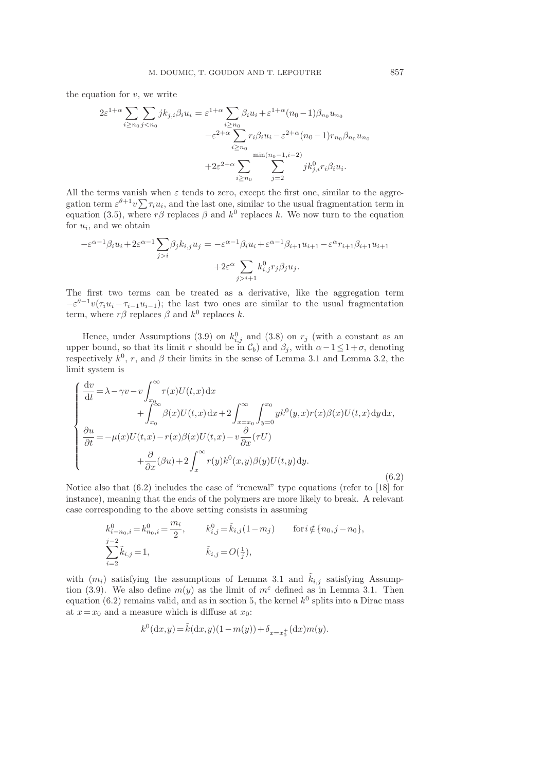the equation for  $v$ , we write

$$
2\varepsilon^{1+\alpha} \sum_{i \ge n_0} \sum_{j < n_0} j k_{j,i} \beta_i u_i = \varepsilon^{1+\alpha} \sum_{i \ge n_0} \beta_i u_i + \varepsilon^{1+\alpha} (n_0 - 1) \beta_{n_0} u_{n_0}
$$

$$
- \varepsilon^{2+\alpha} \sum_{i \ge n_0} r_i \beta_i u_i - \varepsilon^{2+\alpha} (n_0 - 1) r_{n_0} \beta_{n_0} u_{n_0}
$$

$$
+ 2\varepsilon^{2+\alpha} \sum_{i \ge n_0} \sum_{j=2}^{\min(n_0 - 1, i - 2)} j k_{j,i}^0 r_i \beta_i u_i.
$$

All the terms vanish when  $\varepsilon$  tends to zero, except the first one, similar to the aggregation term  $\varepsilon^{\theta+1}v\sum \tau_i u_i$ , and the last one, similar to the usual fragmentation term in equation (3.5), where  $r\beta$  replaces  $\beta$  and  $k^0$  replaces k. We now turn to the equation for  $u_i$ , and we obtain

$$
-\varepsilon^{\alpha-1}\beta_i u_i + 2\varepsilon^{\alpha-1} \sum_{j>i} \beta_j k_{i,j} u_j = -\varepsilon^{\alpha-1} \beta_i u_i + \varepsilon^{\alpha-1} \beta_{i+1} u_{i+1} - \varepsilon^{\alpha} r_{i+1} \beta_{i+1} u_{i+1}
$$

$$
+ 2\varepsilon^{\alpha} \sum_{j>i+1} k_{i,j}^0 r_j \beta_j u_j.
$$

The first two terms can be treated as a derivative, like the aggregation term  $-\varepsilon^{\theta-1}v(\tau_iu_i-\tau_{i-1}u_{i-1});$  the last two ones are similar to the usual fragmentation term, where  $r\beta$  replaces  $\beta$  and  $k^0$  replaces k.

Hence, under Assumptions (3.9) on  $k_{i,j}^0$  and (3.8) on  $r_j$  (with a constant as an upper bound, so that its limit r should be in  $\mathcal{C}_b$ ) and  $\beta_j$ , with  $\alpha-1\leq 1+\sigma$ , denoting respectively  $k^0$ , r, and  $\beta$  their limits in the sense of Lemma 3.1 and Lemma 3.2, the limit system is

$$
\begin{cases}\n\frac{dv}{dt} = \lambda - \gamma v - v \int_{x_0}^{\infty} \tau(x) U(t, x) dx \\
+ \int_{x_0}^{\infty} \beta(x) U(t, x) dx + 2 \int_{x = x_0}^{\infty} \int_{y = 0}^{x_0} y k^0(y, x) r(x) \beta(x) U(t, x) dy dx, \\
\frac{\partial u}{\partial t} = -\mu(x) U(t, x) - r(x) \beta(x) U(t, x) - v \frac{\partial}{\partial x} (\tau U) \\
+ \frac{\partial}{\partial x} (\beta u) + 2 \int_x^{\infty} r(y) k^0(x, y) \beta(y) U(t, y) dy.\n\end{cases}
$$
\n(6.2)

Notice also that (6.2) includes the case of "renewal" type equations (refer to [18] for instance), meaning that the ends of the polymers are more likely to break. A relevant case corresponding to the above setting consists in assuming

$$
k_{i-n_0,i}^0 = k_{n_0,i}^0 = \frac{m_i}{2}, \qquad k_{i,j}^0 = \tilde{k}_{i,j}(1-m_j) \qquad \text{for } i \notin \{n_0, j-n_0\},
$$
  

$$
\sum_{i=2}^{j-2} \tilde{k}_{i,j} = 1, \qquad \qquad \tilde{k}_{i,j} = O(\frac{1}{j}),
$$

with  $(m_i)$  satisfying the assumptions of Lemma 3.1 and  $\tilde{k}_{i,j}$  satisfying Assumption (3.9). We also define  $m(y)$  as the limit of  $m^{\epsilon}$  defined as in Lemma 3.1. Then equation (6.2) remains valid, and as in section 5, the kernel  $k^0$  splits into a Dirac mass at  $x=x_0$  and a measure which is diffuse at  $x_0$ :

$$
k^0(\mathrm{d} x,y)\!=\!\tilde{k}(\mathrm{d} x,y)(1-m(y))+\delta_{x=x_0^+}(\mathrm{d} x)m(y).
$$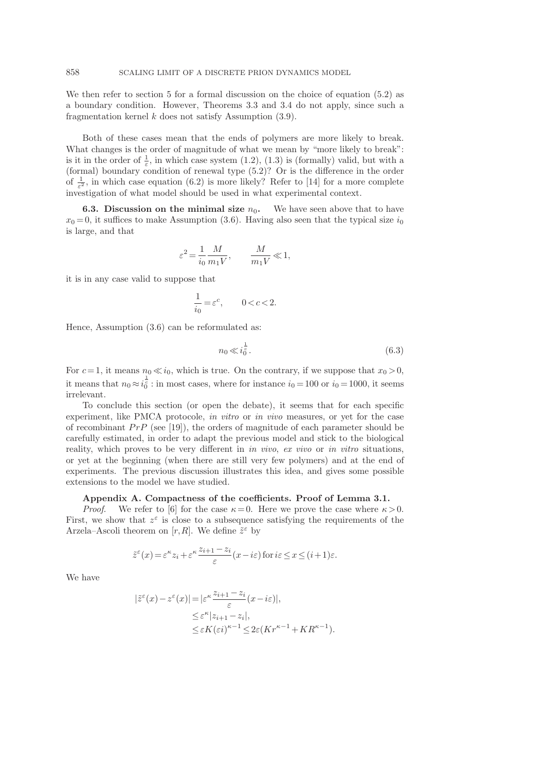We then refer to section 5 for a formal discussion on the choice of equation  $(5.2)$  as a boundary condition. However, Theorems 3.3 and 3.4 do not apply, since such a fragmentation kernel  $k$  does not satisfy Assumption  $(3.9)$ .

Both of these cases mean that the ends of polymers are more likely to break. What changes is the order of magnitude of what we mean by "more likely to break": is it in the order of  $\frac{1}{\varepsilon}$ , in which case system (1.2), (1.3) is (formally) valid, but with a (formal) boundary condition of renewal type (5.2)? Or is the difference in the order of  $\frac{1}{\varepsilon^2}$ , in which case equation (6.2) is more likely? Refer to [14] for a more complete investigation of what model should be used in what experimental context.

**6.3. Discussion on the minimal size**  $n_0$ . We have seen above that to have  $x_0 = 0$ , it suffices to make Assumption (3.6). Having also seen that the typical size  $i_0$ is large, and that

$$
\varepsilon^2\!=\!\frac{1}{i_0}\frac{M}{m_1V},\qquad\!\!\frac{M}{m_1V}\!\ll\!1,
$$

it is in any case valid to suppose that

$$
\frac{1}{i_0}\!=\!\varepsilon^c,\qquad 0\!<\!c\!<\!2.
$$

Hence, Assumption (3.6) can be reformulated as:

$$
n_0 \ll i_0^{\frac{1}{c}}.\tag{6.3}
$$

For  $c = 1$ , it means  $n_0 \ll i_0$ , which is true. On the contrary, if we suppose that  $x_0 > 0$ , it means that  $n_0 \approx i_0^{\frac{1}{e}}$ : in most cases, where for instance  $i_0 = 100$  or  $i_0 = 1000$ , it seems irrelevant.

To conclude this section (or open the debate), it seems that for each specific experiment, like PMCA protocole, in vitro or in vivo measures, or yet for the case of recombinant  $PrP$  (see [19]), the orders of magnitude of each parameter should be carefully estimated, in order to adapt the previous model and stick to the biological reality, which proves to be very different in in vivo, ex vivo or in vitro situations, or yet at the beginning (when there are still very few polymers) and at the end of experiments. The previous discussion illustrates this idea, and gives some possible extensions to the model we have studied.

### Appendix A. Compactness of the coefficients. Proof of Lemma 3.1.

*Proof.* We refer to [6] for the case  $\kappa = 0$ . Here we prove the case where  $\kappa > 0$ . First, we show that  $z^{\varepsilon}$  is close to a subsequence satisfying the requirements of the Arzela–Ascoli theorem on  $[r, R]$ . We define  $\tilde{z}^{\varepsilon}$  by

$$
\tilde{z}^{\varepsilon}(x) = \varepsilon^{\kappa} z_i + \varepsilon^{\kappa} \frac{z_{i+1} - z_i}{\varepsilon} (x - i\varepsilon) \text{ for } i\varepsilon \le x \le (i+1)\varepsilon.
$$

We have

$$
\begin{aligned} |\tilde{z}^{\varepsilon}(x) - z^{\varepsilon}(x)| &= |\varepsilon^{\kappa} \frac{z_{i+1} - z_i}{\varepsilon}(x - i\varepsilon)|, \\ &\leq \varepsilon^{\kappa} |z_{i+1} - z_i|, \\ &\leq \varepsilon K(\varepsilon i)^{\kappa - 1} \leq 2\varepsilon (Kr^{\kappa - 1} + KR^{\kappa - 1}). \end{aligned}
$$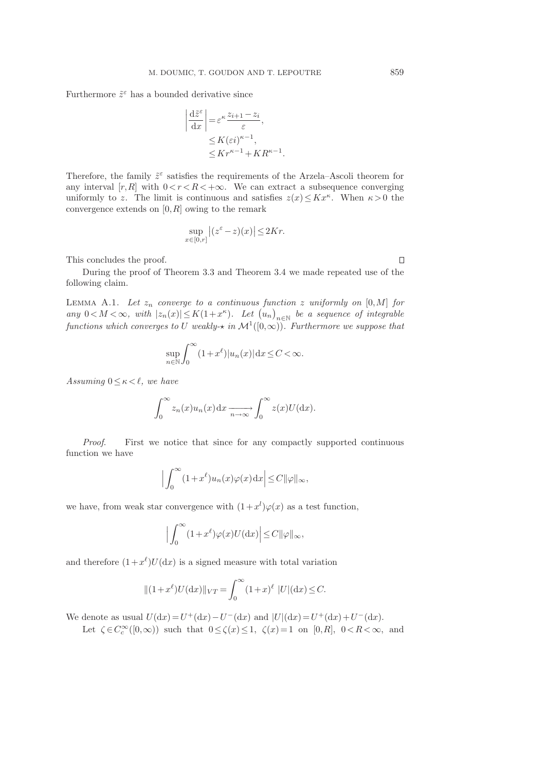Furthermore  $\tilde{z}^{\varepsilon}$  has a bounded derivative since

$$
\left| \frac{d\tilde{z}^{\varepsilon}}{dx} \right| = \varepsilon^{\kappa} \frac{z_{i+1} - z_i}{\varepsilon},
$$
  
 
$$
\leq K(\varepsilon i)^{\kappa - 1},
$$
  
 
$$
\leq K r^{\kappa - 1} + K R^{\kappa - 1}
$$

.

Therefore, the family  $\tilde{z}^{\varepsilon}$  satisfies the requirements of the Arzela–Ascoli theorem for any interval  $[r, R]$  with  $0 < r < R < +\infty$ . We can extract a subsequence converging uniformly to z. The limit is continuous and satisfies  $z(x) \leq Kx^{\kappa}$ . When  $\kappa > 0$  the convergence extends on  $[0, R]$  owing to the remark

$$
\sup_{x \in [0,r]} |(z^{\varepsilon} - z)(x)| \le 2Kr.
$$

This concludes the proof.

During the proof of Theorem 3.3 and Theorem 3.4 we made repeated use of the following claim.

LEMMA A.1. Let  $z_n$  converge to a continuous function z uniformly on [0, M] for any  $0 < M < \infty$ , with  $|z_n(x)| \le K(1+x^{\kappa})$ . Let  $(u_n)_{n \in \mathbb{N}}$  be a sequence of integrable functions which converges to U weakly- $\star$  in  $\mathcal{M}^1([0,\infty))$ . Furthermore we suppose that

$$
\sup_{n \in \mathbb{N}} \int_0^\infty (1 + x^{\ell}) |u_n(x)| \, dx \le C < \infty.
$$

Assuming  $0 \leq \kappa \leq \ell$ , we have

$$
\int_0^\infty z_n(x)u_n(x)\mathrm{d}x \xrightarrow[n\to\infty]{} \int_0^\infty z(x)U(\mathrm{d}x).
$$

Proof. First we notice that since for any compactly supported continuous function we have

$$
\Big|\int_0^\infty (1+x^\ell)u_n(x)\varphi(x)\,\mathrm{d}x\Big|\leq C\|\varphi\|_\infty,
$$

we have, from weak star convergence with  $(1+x^{l})\varphi(x)$  as a test function,

$$
\Big|\int_0^\infty (1+x^\ell)\varphi(x) U(\mathrm{d} x)\Big|\!\leq\! C\|\varphi\|_\infty,
$$

and therefore  $(1+x^{\ell})U(\mathrm{d}x)$  is a signed measure with total variation

$$
||(1+x^{\ell})U(\mathrm{d}x)||_{VT} = \int_0^{\infty} (1+x)^{\ell} |U|(\mathrm{d}x) \le C.
$$

We denote as usual  $U(\mathrm{d}x) = U^{+}(\mathrm{d}x) - U^{-}(\mathrm{d}x)$  and  $|U|(\mathrm{d}x) = U^{+}(\mathrm{d}x) + U^{-}(\mathrm{d}x)$ .

Let  $\zeta \in C_c^{\infty}([0,\infty))$  such that  $0 \le \zeta(x) \le 1$ ,  $\zeta(x) = 1$  on  $[0,R]$ ,  $0 < R < \infty$ , and

 $\Box$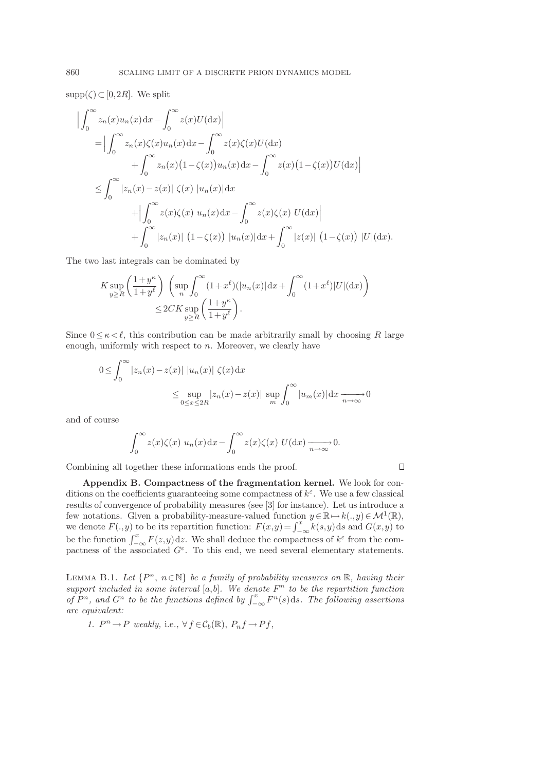$supp(\zeta) \subset [0, 2R]$ . We split

$$
\left| \int_0^\infty z_n(x) u_n(x) dx - \int_0^\infty z(x) U(dx) \right|
$$
  
\n
$$
= \left| \int_0^\infty z_n(x) \zeta(x) u_n(x) dx - \int_0^\infty z(x) \zeta(x) U(dx) \right|
$$
  
\n
$$
+ \int_0^\infty z_n(x) (1 - \zeta(x)) u_n(x) dx - \int_0^\infty z(x) (1 - \zeta(x)) U(dx) \right|
$$
  
\n
$$
\leq \int_0^\infty |z_n(x) - z(x)| \zeta(x) |u_n(x)| dx
$$
  
\n
$$
+ \left| \int_0^\infty z(x) \zeta(x) u_n(x) dx - \int_0^\infty z(x) \zeta(x) U(dx) \right|
$$
  
\n
$$
+ \int_0^\infty |z_n(x)| (1 - \zeta(x)) |u_n(x)| dx + \int_0^\infty |z(x)| (1 - \zeta(x)) |U|(dx).
$$

The two last integrals can be dominated by

$$
K \sup_{y \ge R} \left( \frac{1+y^{\kappa}}{1+y^{\ell}} \right) \left( \sup_{n} \int_{0}^{\infty} (1+x^{\ell}) (|u_n(x)| dx + \int_{0}^{\infty} (1+x^{\ell}) |U| (dx) \right)
$$
  

$$
\le 2CK \sup_{y \ge R} \left( \frac{1+y^{\kappa}}{1+y^{\ell}} \right).
$$

Since  $0 \leq \kappa < \ell$ , this contribution can be made arbitrarily small by choosing R large enough, uniformly with respect to  $n$ . Moreover, we clearly have

$$
0 \leq \int_0^\infty |z_n(x) - z(x)| |u_n(x)| \zeta(x) dx
$$
  

$$
\leq \sup_{0 \leq x \leq 2R} |z_n(x) - z(x)| \sup_m \int_0^\infty |u_m(x)| dx \xrightarrow[n \to \infty]{}
$$

and of course

$$
\int_0^\infty z(x)\zeta(x) u_n(x) dx - \int_0^\infty z(x)\zeta(x) U(dx) \xrightarrow[n \to \infty]{} 0.
$$

 $\Box$ 

Combining all together these informations ends the proof.

Appendix B. Compactness of the fragmentation kernel. We look for conditions on the coefficients guaranteeing some compactness of  $k^{\varepsilon}$ . We use a few classical results of convergence of probability measures (see [3] for instance). Let us introduce a few notations. Given a probability-measure-valued function  $y \in \mathbb{R} \mapsto k(.,y) \in \mathcal{M}^1(\mathbb{R}),$ we denote  $F(.,y)$  to be its repartition function:  $F(x,y) = \int_{-\infty}^{x} k(s,y) ds$  and  $G(x,y)$  to be the function  $\int_{-\infty}^{x} F(z,y) dz$ . We shall deduce the compactness of  $k^{\varepsilon}$  from the compactness of the associated  $G^{\varepsilon}$ . To this end, we need several elementary statements.

LEMMA B.1. Let  $\{P^n, n \in \mathbb{N}\}\$ be a family of probability measures on  $\mathbb{R}$ , having their support included in some interval  $[a,b]$ . We denote  $F<sup>n</sup>$  to be the repartition function of  $P^n$ , and  $G^n$  to be the functions defined by  $\int_{-\infty}^x F^n(s)ds$ . The following assertions are equivalent:

1.  $P^n \to P$  weakly, i.e.,  $\forall f \in C_b(\mathbb{R})$ ,  $P_n f \to Pf$ ,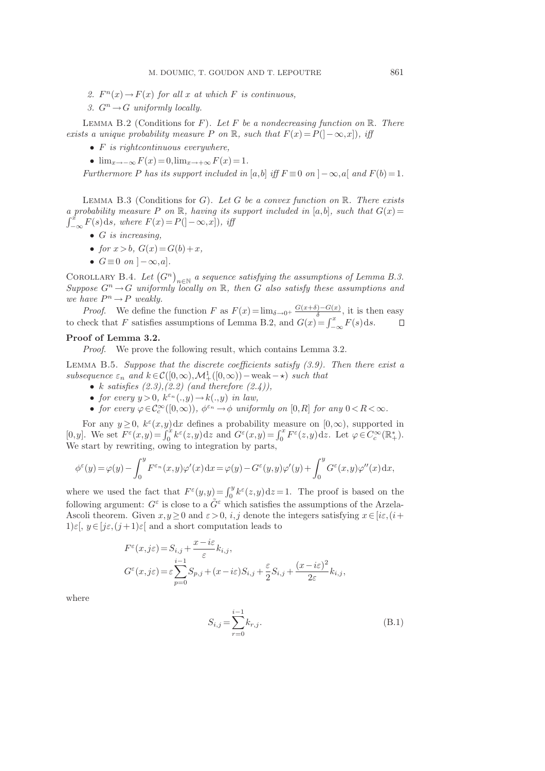- 2.  $F^n(x) \to F(x)$  for all x at which F is continuous,
- 3.  $G^n \to G$  uniformly locally.

LEMMA B.2 (Conditions for F). Let F be a nondecreasing function on  $\mathbb{R}$ . There exists a unique probability measure P on R, such that  $F(x) = P(]-\infty, x]$ , iff

- $F$  is rightcontinuous everywhere,
- $\lim_{x\to-\infty} F(x) = 0$ ,  $\lim_{x\to+\infty} F(x) = 1$ .

Furthermore P has its support included in [a,b] iff  $F \equiv 0$  on  $]-\infty$ , a[ and  $F(b) = 1$ .

LEMMA B.3 (Conditions for G). Let G be a convex function on  $\mathbb{R}$ . There exists a probability measure P on R, having its support included in [a,b], such that  $G(x)$  =  $\int_{-\infty}^{\hat{x}} F(s) ds$ , where  $F(x) = P(]-\infty, x]$ ), iff

- $G$  is increasing,
- for  $x > b$ ,  $G(x) = G(b) + x$ ,
- $G \equiv 0$  on  $[-\infty, a]$ .

COROLLARY B.4. Let  $(G^n)_{n\in\mathbb{N}}$  a sequence satisfying the assumptions of Lemma B.3. Suppose  $G^n \to G$  uniformly locally on R, then G also satisfy these assumptions and we have  $P^n \to P$  weakly.

*Proof.* We define the function F as  $F(x) = \lim_{\delta \to 0^+} \frac{G(x+\delta) - G(x)}{\delta}$  $\frac{\partial f(x)}{\partial x}$ , it is then easy to check that F satisfies assumptions of Lemma B.2, and  $G(x) = \int_{-\infty}^{x} F(s) ds$ .  $\Box$ 

## Proof of Lemma 3.2.

Proof. We prove the following result, which contains Lemma 3.2.

LEMMA B.5. Suppose that the discrete coefficients satisfy  $(3.9)$ . Then there exist a subsequence  $\varepsilon_n$  and  $k \in \mathcal{C}([0,\infty), \mathcal{M}^1_+([0,\infty))$  – weak –  $\star)$  such that

- k satisfies  $(2.3),(2.2)$  (and therefore  $(2.4)$ ),
- for every  $y > 0$ ,  $k^{\varepsilon_n}(.,y) \to k(.,y)$  in law,
- for every  $\varphi \in C_c^{\infty}([0,\infty))$ ,  $\phi^{\varepsilon_n} \to \phi$  uniformly on  $[0,R]$  for any  $0 < R < \infty$ .

For any  $y \geq 0$ ,  $k^{\varepsilon}(x,y)dx$  defines a probability measure on  $[0,\infty)$ , supported in [0,y]. We set  $F^{\varepsilon}(x,y) = \int_0^x k^{\varepsilon}(z,y) dz$  and  $G^{\varepsilon}(x,y) = \int_0^x F^{\varepsilon}(z,y) dz$ . Let  $\varphi \in C_c^{\infty}(\mathbb{R}^*_+)$ . We start by rewriting, owing to integration by parts,

$$
\phi^{\varepsilon}(y) = \varphi(y) - \int_0^y F^{\varepsilon_n}(x, y) \varphi'(x) dx = \varphi(y) - G^{\varepsilon}(y, y) \varphi'(y) + \int_0^y G^{\varepsilon}(x, y) \varphi''(x) dx,
$$

where we used the fact that  $F^{\varepsilon}(y,y) = \int_0^y k^{\varepsilon}(z,y) dz = 1$ . The proof is based on the following argument:  $G^{\varepsilon}$  is close to a  $\tilde{G}^{\varepsilon}$  which satisfies the assumptions of the Arzela-Ascoli theorem. Given  $x,y \geq 0$  and  $\varepsilon > 0$ , i,j denote the integers satisfying  $x \in [i\varepsilon, (i+1)]$  $1\in$ ,  $y \in [j\varepsilon, (j+1)\varepsilon]$  and a short computation leads to

$$
F^{\varepsilon}(x,j\varepsilon) = S_{i,j} + \frac{x - i\varepsilon}{\varepsilon} k_{i,j},
$$
  
\n
$$
G^{\varepsilon}(x,j\varepsilon) = \varepsilon \sum_{p=0}^{i-1} S_{p,j} + (x - i\varepsilon)S_{i,j} + \frac{\varepsilon}{2}S_{i,j} + \frac{(x - i\varepsilon)^2}{2\varepsilon} k_{i,j},
$$

where

$$
S_{i,j} = \sum_{r=0}^{i-1} k_{r,j}.
$$
 (B.1)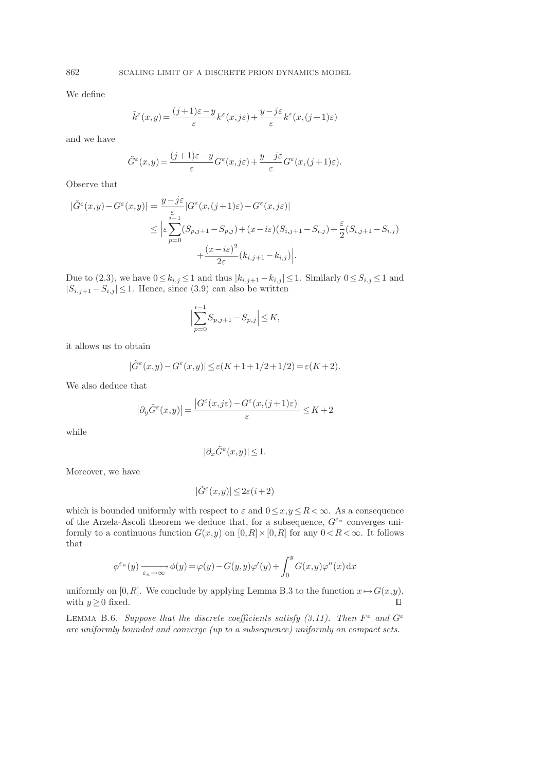We define

$$
\tilde{k}^{\varepsilon}(x,y) = \frac{(j+1)\varepsilon - y}{\varepsilon} k^{\varepsilon}(x,j\varepsilon) + \frac{y - j\varepsilon}{\varepsilon} k^{\varepsilon}(x,(j+1)\varepsilon)
$$

and we have

$$
\tilde{G}^{\varepsilon}(x,y) = \frac{(j+1)\varepsilon - y}{\varepsilon} G^{\varepsilon}(x,j\varepsilon) + \frac{y - j\varepsilon}{\varepsilon} G^{\varepsilon}(x,(j+1)\varepsilon).
$$

Observe that

$$
\begin{split} |\tilde{G}^{\varepsilon}(x,y)-G^{\varepsilon}(x,y)|&=\frac{y-j\varepsilon}{\varepsilon}|G^{\varepsilon}(x,(j+1)\varepsilon)-G^{\varepsilon}(x,j\varepsilon)|\\ &\leq \Big|\varepsilon\sum_{p=0}^{\varepsilon-1}(S_{p,j+1}-S_{p,j})+(x-i\varepsilon)(S_{i,j+1}-S_{i,j})+\frac{\varepsilon}{2}(S_{i,j+1}-S_{i,j})\\ &\qquad+\frac{(x-i\varepsilon)^2}{2\varepsilon}(k_{i,j+1}-k_{i,j})\Big|. \end{split}
$$

Due to (2.3), we have  $0 \le k_{i,j} \le 1$  and thus  $|k_{i,j+1} - k_{i,j}| \le 1$ . Similarly  $0 \le S_{i,j} \le 1$  and  $|S_{i,j+1} - S_{i,j}| \leq 1$ . Hence, since (3.9) can also be written

$$
\Big| \sum_{p=0}^{i-1} S_{p,j+1} - S_{p,j} \Big| \le K,
$$

it allows us to obtain

$$
|\tilde{G}^{\varepsilon}(x,y)-G^{\varepsilon}(x,y)|\leq \varepsilon (K+1+1/2+1/2)=\varepsilon (K+2).
$$

We also deduce that

$$
\left|\partial_y \tilde G^\varepsilon(x,y)\right|=\frac{\left|G^\varepsilon(x,j\varepsilon)-G^\varepsilon(x,(j+1)\varepsilon)\right|}{\varepsilon}\leq K+2
$$

while

$$
|\partial_x \tilde{G}^\varepsilon(x,y)| \le 1.
$$

Moreover, we have

$$
|\tilde{G}^{\varepsilon}(x,y)| \leq 2\varepsilon (i+2)
$$

which is bounded uniformly with respect to  $\varepsilon$  and  $0 \le x, y \le R < \infty$ . As a consequence of the Arzela-Ascoli theorem we deduce that, for a subsequence,  $G^{\varepsilon_n}$  converges uniformly to a continuous function  $G(x,y)$  on  $[0,R] \times [0,R]$  for any  $0 < R < \infty$ . It follows that

$$
\phi^{\varepsilon_n}(y) \xrightarrow[\varepsilon_n \to \infty]{} \phi(y) = \varphi(y) - G(y, y)\varphi'(y) + \int_0^y G(x, y)\varphi''(x) dx
$$

uniformly on [0, R]. We conclude by applying Lemma B.3 to the function  $x \mapsto G(x,y)$ , with  $y>0$  fixed. with  $y \geq 0$  fixed.

LEMMA B.6. Suppose that the discrete coefficients satisfy (3.11). Then  $F^{\varepsilon}$  and  $G^{\varepsilon}$ are uniformly bounded and converge (up to a subsequence) uniformly on compact sets.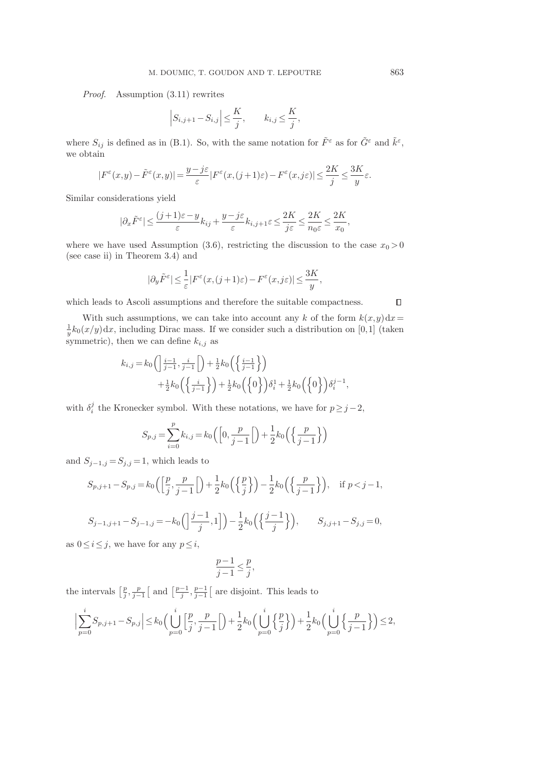Proof. Assumption (3.11) rewrites

$$
\left|S_{i,j+1}-S_{i,j}\right|\leq\frac{K}{j},\qquad k_{i,j}\leq\frac{K}{j},
$$

where  $S_{ij}$  is defined as in (B.1). So, with the same notation for  $\tilde{F}^{\varepsilon}$  as for  $\tilde{G}^{\varepsilon}$  and  $\tilde{k}^{\varepsilon}$ , we obtain

$$
|F^{\varepsilon}(x,y)-\tilde{F}^{\varepsilon}(x,y)|=\frac{y-j\varepsilon}{\varepsilon}|F^{\varepsilon}(x,(j+1)\varepsilon)-F^{\varepsilon}(x,j\varepsilon)|\leq \frac{2K}{j}\leq \frac{3K}{y}\varepsilon.
$$

Similar considerations yield

$$
|\partial_x \tilde{F}^{\varepsilon}| \le \frac{(j+1)\varepsilon - y}{\varepsilon} k_{ij} + \frac{y - j\varepsilon}{\varepsilon} k_{i,j+1} \varepsilon \le \frac{2K}{j\varepsilon} \le \frac{2K}{n_0 \varepsilon} \le \frac{2K}{x_0},
$$

where we have used Assumption (3.6), restricting the discussion to the case  $x_0 > 0$ (see case ii) in Theorem 3.4) and

$$
|\partial_y \tilde{F}^{\varepsilon}| \leq \frac{1}{\varepsilon} |F^{\varepsilon}(x,(j+1)\varepsilon) - F^{\varepsilon}(x,j\varepsilon)| \leq \frac{3K}{y},
$$

which leads to Ascoli assumptions and therefore the suitable compactness.

With such assumptions, we can take into account any k of the form  $k(x,y)dx=$  $\frac{1}{y}k_0(x/y)dx$ , including Dirac mass. If we consider such a distribution on [0,1] (taken symmetric), then we can define  $k_{i,j}$  as

$$
\begin{aligned} k_{i,j} = & k_0 \left( \left| \frac{i-1}{j-1}, \frac{i}{j-1} \right| \right) + \frac{1}{2} k_0 \left( \left\{ \frac{i-1}{j-1} \right\} \right) \\ & + \frac{1}{2} k_0 \left( \left\{ \frac{i}{j-1} \right\} \right) + \frac{1}{2} k_0 \left( \left\{ 0 \right\} \right) \delta_i^1 + \frac{1}{2} k_0 \left( \left\{ 0 \right\} \right) \delta_i^{j-1}, \end{aligned}
$$

with  $\delta_i^j$  the Kronecker symbol. With these notations, we have for  $p \geq j-2$ ,

$$
S_{p,j} = \sum_{i=0}^{p} k_{i,j} = k_0 \left( \left[ 0, \frac{p}{j-1} \right] \right) + \frac{1}{2} k_0 \left( \left\{ \frac{p}{j-1} \right\} \right)
$$

and  $S_{j-1,j} = S_{j,j} = 1$ , which leads to

$$
S_{p,j+1} - S_{p,j} = k_0 \left( \left[ \frac{p}{j}, \frac{p}{j-1} \right] \right) + \frac{1}{2} k_0 \left( \left\{ \frac{p}{j} \right\} \right) - \frac{1}{2} k_0 \left( \left\{ \frac{p}{j-1} \right\} \right), \quad \text{if } p < j - 1,
$$
  

$$
S_{j-1,j+1} - S_{j-1,j} = -k_0 \left( \left\{ \frac{j-1}{j}, 1 \right\} \right) - \frac{1}{2} k_0 \left( \left\{ \frac{j-1}{j} \right\} \right), \qquad S_{j,j+1} - S_{j,j} = 0,
$$

as  $0 \leq i \leq j$ , we have for any  $p \leq i$ ,

$$
\frac{p-1}{j-1} \le \frac{p}{j},
$$

the intervals  $\left[\frac{p}{j}, \frac{p}{j-1}\right]$  and  $\left[\frac{p-1}{j}, \frac{p-1}{j-1}\right]$  are disjoint. This leads to

$$
\Big|\sum_{p=0}^i S_{p,j+1} - S_{p,j}\Big| \le k_0 \Big(\bigcup_{p=0}^i \Big[\frac{p}{j}, \frac{p}{j-1}\Big[\Big] + \frac{1}{2}k_0\Big(\bigcup_{p=0}^i \Big\{\frac{p}{j}\Big\}\Big) + \frac{1}{2}k_0\Big(\bigcup_{p=0}^i \Big\{\frac{p}{j-1}\Big\}\Big) \le 2,
$$

 $\Box$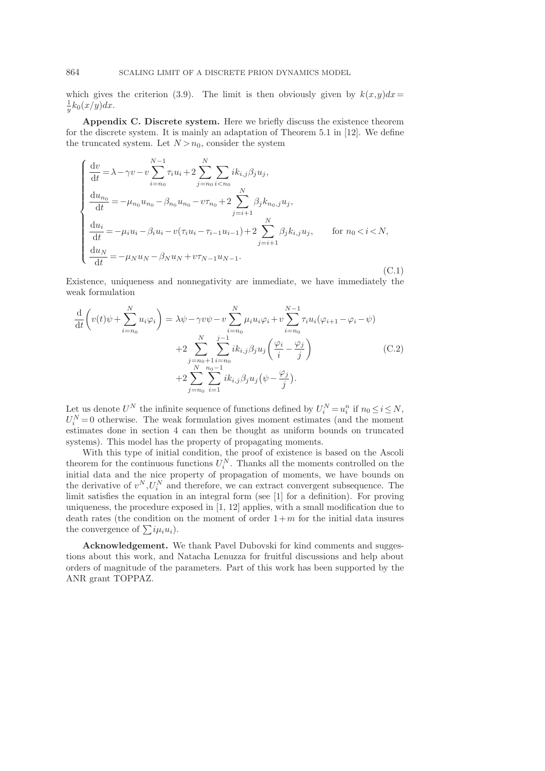which gives the criterion (3.9). The limit is then obviously given by  $k(x,y)dx=$  $\frac{1}{y}k_0(x/y)dx$ .

Appendix C. Discrete system. Here we briefly discuss the existence theorem for the discrete system. It is mainly an adaptation of Theorem 5.1 in [12]. We define the truncated system. Let  $N > n_0$ , consider the system

$$
\begin{cases}\n\frac{dv}{dt} = \lambda - \gamma v - v \sum_{i=n_0}^{N-1} \tau_i u_i + 2 \sum_{j=n_0}^{N} \sum_{i < n_0} i k_{i,j} \beta_j u_j, \\
\frac{du_{n_0}}{dt} = -\mu_{n_0} u_{n_0} - \beta_{n_0} u_{n_0} - v \tau_{n_0} + 2 \sum_{j=i+1}^{N} \beta_j k_{n_0,j} u_j, \\
\frac{du_i}{dt} = -\mu_i u_i - \beta_i u_i - v(\tau_i u_i - \tau_{i-1} u_{i-1}) + 2 \sum_{j=i+1}^{N} \beta_j k_{i,j} u_j, \quad \text{for } n_0 < i < N, \\
\frac{du_N}{dt} = -\mu_N u_N - \beta_N u_N + v \tau_{N-1} u_{N-1}.\n\end{cases} \tag{C.1}
$$

Existence, uniqueness and nonnegativity are immediate, we have immediately the weak formulation

$$
\frac{d}{dt} \left( v(t)\psi + \sum_{i=n_0}^{N} u_i \varphi_i \right) = \lambda \psi - \gamma v \psi - v \sum_{i=n_0}^{N} \mu_i u_i \varphi_i + v \sum_{i=n_0}^{N-1} \tau_i u_i (\varphi_{i+1} - \varphi_i - \psi) \n+ 2 \sum_{j=n_0+1}^{N} \sum_{i=n_0}^{j-1} i k_{i,j} \beta_j u_j \left( \frac{\varphi_i}{i} - \frac{\varphi_j}{j} \right) \n+ 2 \sum_{j=n_0}^{N} \sum_{i=1}^{n_0-1} i k_{i,j} \beta_j u_j (\psi - \frac{\varphi_j}{j}).
$$
\n(C.2)

Let us denote  $U^N$  the infinite sequence of functions defined by  $U_i^N = u_i^n$  if  $n_0 \le i \le N$ ,  $U_i^N=0$  otherwise. The weak formulation gives moment estimates (and the moment estimates done in section 4 can then be thought as uniform bounds on truncated systems). This model has the property of propagating moments.

With this type of initial condition, the proof of existence is based on the Ascoli theorem for the continuous functions  $U_i^N$ . Thanks all the moments controlled on the initial data and the nice property of propagation of moments, we have bounds on the derivative of  $v^N$ ,  $U_i^N$  and therefore, we can extract convergent subsequence. The limit satisfies the equation in an integral form (see [1] for a definition). For proving uniqueness, the procedure exposed in [1, 12] applies, with a small modification due to death rates (the condition on the moment of order  $1+m$  for the initial data insures the convergence of  $\sum i \mu_i u_i$ ).

Acknowledgement. We thank Pavel Dubovski for kind comments and suggestions about this work, and Natacha Lenuzza for fruitful discussions and help about orders of magnitude of the parameters. Part of this work has been supported by the ANR grant TOPPAZ.